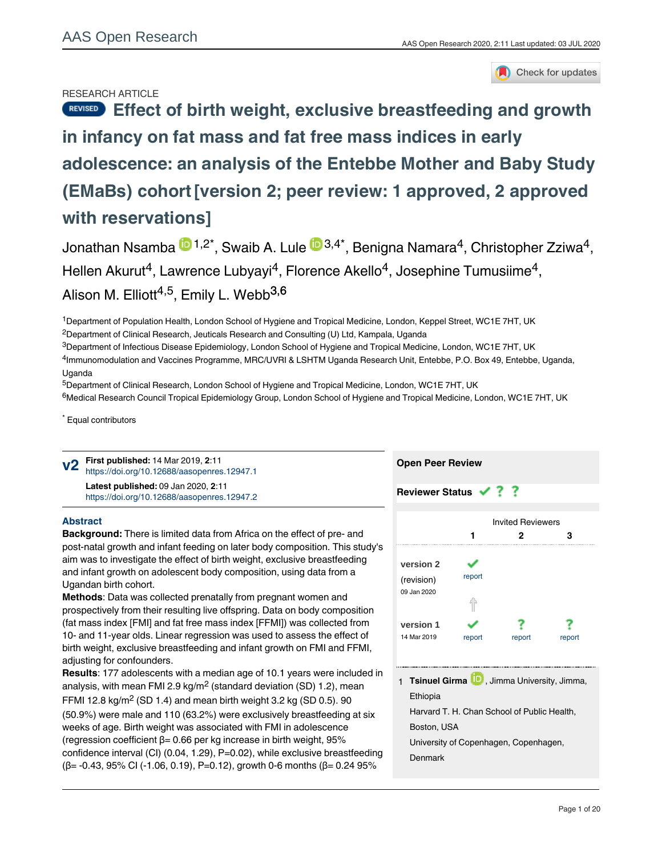## RESEARCH ARTICLE



# REVISED [Effect of birth weight, exclusive breastfeeding and growth](https://aasopenresearch.org/articles/2-11/v2) **[in infancy on fat mass and fat free mass indices in early](https://aasopenresearch.org/articles/2-11/v2) [adolescence: an analysis of the Entebbe Mother and Baby Study](https://aasopenresearch.org/articles/2-11/v2) [\(EMaBs\) cohort](https://aasopenresearch.org/articles/2-11/v2)[version 2; peer review: 1 approved, 2 approved with reservations]**

Jonathan Nsamba  $\mathbf{\mathbb{D}}^{1,2^\star},$  Swaib A. Lule  $\mathbf{\mathbb{D}}^{3,4^\star},$  Benigna Namara $^4$ , Christopher Zziwa $^4$ , Hellen Akurut<sup>4</sup>, Lawrence Lubyayi<sup>4</sup>, Florence Akello<sup>4</sup>, Josephine Tumusiime<sup>4</sup>, Alison M. Elliott<sup>4,5</sup>, Emily L. Webb<sup>3,6</sup>

<sup>1</sup>Department of Population Health, London School of Hygiene and Tropical Medicine, London, Keppel Street, WC1E 7HT, UK

 $^2$ Department of Clinical Research, Jeuticals Research and Consulting (U) Ltd, Kampala, Uganda

 $^3$ Department of Infectious Disease Epidemiology, London School of Hygiene and Tropical Medicine, London, WC1E 7HT, UK

<sup>4</sup>Immunomodulation and Vaccines Programme, MRC/UVRI & LSHTM Uganda Research Unit, Entebbe, P.O. Box 49, Entebbe, Uganda, Uganda

<sup>5</sup>Department of Clinical Research, London School of Hygiene and Tropical Medicine, London, WC1E 7HT, UK

<sup>6</sup>Medical Research Council Tropical Epidemiology Group, London School of Hygiene and Tropical Medicine, London, WC1E 7HT, UK

\* Equal contributors

**First published:** 14 Mar 2019, **2**:11 **v2** <https://doi.org/10.12688/aasopenres.12947.1> **Latest published:** 09 Jan 2020, **2**:11 <https://doi.org/10.12688/aasopenres.12947.2>

## **Abstract**

**Background:** There is limited data from Africa on the effect of pre- and post-natal growth and infant feeding on later body composition. This study's aim was to investigate the effect of birth weight, exclusive breastfeeding and infant growth on adolescent body composition, using data from a Ugandan birth cohort.

**Methods**: Data was collected prenatally from pregnant women and prospectively from their resulting live offspring. Data on body composition (fat mass index [FMI] and fat free mass index [FFMI]) was collected from 10- and 11-year olds. Linear regression was used to assess the effect of birth weight, exclusive breastfeeding and infant growth on FMI and FFMI, adjusting for confounders.

**Results**: 177 adolescents with a median age of 10.1 years were included in analysis, with mean FMI 2.9 kg/m $^2$  (standard deviation (SD) 1.2), mean FFMI 12.8 kg/m<sup>2</sup> (SD 1.4) and mean birth weight 3.2 kg (SD 0.5). 90 (50.9%) were male and 110 (63.2%) were exclusively breastfeeding at six weeks of age. Birth weight was associated with FMI in adolescence (regression coefficient β= 0.66 per kg increase in birth weight, 95% confidence interval (CI) (0.04, 1.29), P=0.02), while exclusive breastfeeding (β= -0.43, 95% CI (-1.06, 0.19), P=0.12), growth 0-6 months (β= 0.24 95%

 $\mathcal{L} = 0.43, \mathcal{L} = 0.92, \mathcal{L} = 0.92, \mathcal{L} = 0.92, \mathcal{L} = 0.91, \mathcal{L} = 0.91, \mathcal{L} = 0.91, \mathcal{L} = 0.91, \mathcal{L} = 0.91, \mathcal{L} = 0.91, \mathcal{L} = 0.91, \mathcal{L} = 0.91, \mathcal{L} = 0.91, \mathcal{L} = 0.91, \mathcal{L} = 0.91, \mathcal{L} = 0.91, \mathcal{L} = 0.91$ 

## **Open Peer Review**

# **Reviewer Status ✔ ? ?**



1 **Tsinuel Girma UD**, Jimma University, Jimma, Ethiopia

Harvard T. H. Chan School of Public Health, Boston, USA

University of Copenhagen, Copenhagen,

Denmark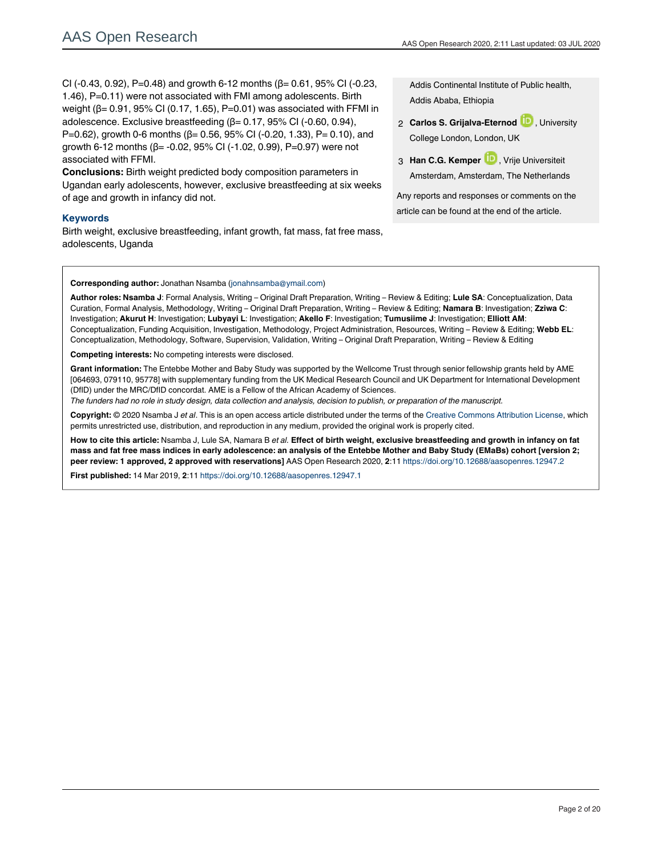CI (-0.43, 0.92), P=0.48) and growth 6-12 months ( $β = 0.61$ , 95% CI (-0.23, 1.46), P=0.11) were not associated with FMI among adolescents. Birth weight (β= 0.91, 95% CI (0.17, 1.65), P=0.01) was associated with FFMI in adolescence. Exclusive breastfeeding  $(β = 0.17, 95% C1 (-0.60, 0.94),$ P=0.62), growth 0-6 months ( $β$ = 0.56, 95% CI (-0.20, 1.33), P= 0.10), and growth 6-12 months ( $β = -0.02$ , 95% CI (-1.02, 0.99), P=0.97) were not associated with FFMI.

**Conclusions:** Birth weight predicted body composition parameters in Ugandan early adolescents, however, exclusive breastfeeding at six weeks of age and growth in infancy did not.

### **Keywords**

Birth weight, exclusive breastfeeding, infant growth, fat mass, fat free mass, adolescents, Uganda

Addis Continental Institute of Public health, Addis Ababa, Ethiopia

- 2 **Carlos S. Grijalva-Eternod ID**, University College London, London, UK
- 3 **Han C.G. Kemper U.,** Vrije Universiteit Amsterdam, Amsterdam, The Netherlands

Any reports and responses or comments on the article can be found at the end of the article.

#### **Corresponding author:** Jonathan Nsamba (jonahnsamba@ymail.com)

**Author roles: Nsamba J**: Formal Analysis, Writing – Original Draft Preparation, Writing – Review & Editing; **Lule SA**: Conceptualization, Data Curation, Formal Analysis, Methodology, Writing – Original Draft Preparation, Writing – Review & Editing; **Namara B**: Investigation; **Zziwa C**: Investigation; **Akurut H**: Investigation; **Lubyayi L**: Investigation; **Akello F**: Investigation; **Tumusiime J**: Investigation; **Elliott AM**: Conceptualization, Funding Acquisition, Investigation, Methodology, Project Administration, Resources, Writing – Review & Editing; **Webb EL**: Conceptualization, Methodology, Software, Supervision, Validation, Writing – Original Draft Preparation, Writing – Review & Editing

**Competing interests:** No competing interests were disclosed.

**Grant information:** The Entebbe Mother and Baby Study was supported by the Wellcome Trust through senior fellowship grants held by AME [064693, 079110, 95778] with supplementary funding from the UK Medical Research Council and UK Department for International Development (DfID) under the MRC/DfID concordat. AME is a Fellow of the African Academy of Sciences.

*The funders had no role in study design, data collection and analysis, decision to publish, or preparation of the manuscript.*

**Copyright:** © 2020 Nsamba J *et al*. This is an open access article distributed under the terms of the [Creative Commons Attribution License,](http://creativecommons.org/licenses/by/4.0/) which permits unrestricted use, distribution, and reproduction in any medium, provided the original work is properly cited.

**How to cite this article:** Nsamba J, Lule SA, Namara B *et al.* **Effect of birth weight, exclusive breastfeeding and growth in infancy on fat mass and fat free mass indices in early adolescence: an analysis of the Entebbe Mother and Baby Study (EMaBs) cohort [version 2; peer review: 1 approved, 2 approved with reservations]** AAS Open Research 2020, **2**:11 <https://doi.org/10.12688/aasopenres.12947.2>

**First published:** 14 Mar 2019, **2**:11<https://doi.org/10.12688/aasopenres.12947.1>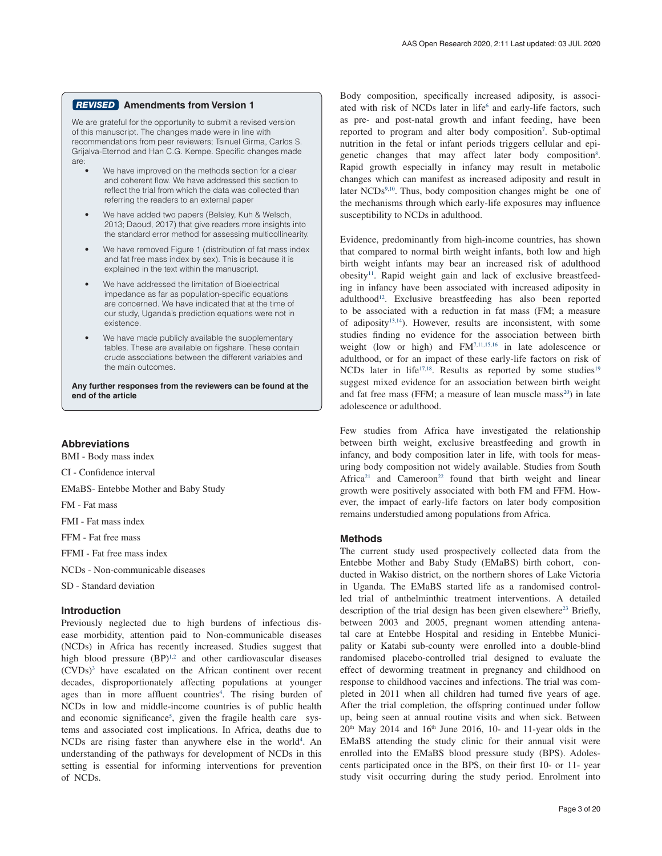## **Amendments from Version 1** *REVISED*

We are grateful for the opportunity to submit a revised version of this manuscript. The changes made were in line with recommendations from peer reviewers; Tsinuel Girma, Carlos S. Grijalva-Eternod and Han C.G. Kempe. Specific changes made are:

- We have improved on the methods section for a clear and coherent flow. We have addressed this section to reflect the trial from which the data was collected than referring the readers to an external paper
- We have added two papers (Belsley, Kuh & Welsch, 2013; Daoud, 2017) that give readers more insights into the standard error method for assessing multicollinearity.
- We have removed Figure 1 (distribution of fat mass index and fat free mass index by sex). This is because it is explained in the text within the manuscript.
- We have addressed the limitation of Bioelectrical impedance as far as population-specific equations are concerned. We have indicated that at the time of our study, Uganda's prediction equations were not in existence.
- We have made publicly available the supplementary tables. These are available on figshare. These contain crude associations between the different variables and the main outcomes.

**Any further responses from the reviewers can be found at the end of the article**

## **Abbreviations**

BMI - Body mass index

CI - Confidence interval

EMaBS- Entebbe Mother and Baby Study

FM - Fat mass

FMI - Fat mass index

FFM - Fat free mass

FFMI - Fat free mass index

NCDs - Non-communicable diseases

SD - Standard deviation

#### **Introduction**

Previously neglected due to high burdens of infectious disease morbidity, attention paid to Non-communicable diseases (NCDs) in Africa has recently increased. Studies suggest that high blood pressure (BP)<sup>1,2</sup> and other cardiovascular diseases (CVDs[\)3](#page-7-0) have escalated on the African continent over recent decades, disproportionately affecting populations at younger ages than in more affluent countries<sup>4</sup>. The rising burden of NCDs in low and middle-income countries is of public health and economic significance<sup>5</sup>, given the fragile health care systems and associated cost implications. In Africa, deaths due to NCDs are rising faster than anywhere else in the world<sup>4</sup>. An understanding of the pathways for development of NCDs in this setting is essential for informing interventions for prevention of NCDs.

Body composition, specifically increased adiposity, is associated with risk of NCDs later in life<sup>6</sup> and early-life factors, such as pre- and post-natal growth and infant feeding, have been reported to program and alter body composition<sup>[7](#page-8-0)</sup>. Sub-optimal nutrition in the fetal or infant periods triggers cellular and epi-genetic changes that may affect later body composition<sup>[8](#page-8-0)</sup>. Rapid growth especially in infancy may result in metabolic changes which can manifest as increased adiposity and result in later NCDs<sup>9,10</sup>. Thus, body composition changes might be one of the mechanisms through which early-life exposures may influence susceptibility to NCDs in adulthood.

Evidence, predominantly from high-income countries, has shown that compared to normal birth weight infants, both low and high birth weight infants may bear an increased risk of adulthood obesity<sup>11</sup>. Rapid weight gain and lack of exclusive breastfeeding in infancy have been associated with increased adiposity in adulthood<sup>12</sup>. Exclusive breastfeeding has also been reported to be associated with a reduction in fat mass (FM; a measure of adiposity<sup>13,14</sup>). However, results are inconsistent, with some studies finding no evidence for the association between birth weight (low or high) and F[M7,11,15,16](#page-8-0) in late adolescence or adulthood, or for an impact of these early-life factors on risk of NCDs later in life<sup>17,18</sup>. Results as reported by some studies<sup>19</sup> suggest mixed evidence for an association between birth weight and fat free mass (FFM; a measure of lean muscle mass<sup>20</sup>) in late adolescence or adulthood.

Few studies from Africa have investigated the relationship between birth weight, exclusive breastfeeding and growth in infancy, and body composition later in life, with tools for measuring body composition not widely available. Studies from South Africa<sup>21</sup> and Cameroon<sup>22</sup> found that birth weight and linear growth were positively associated with both FM and FFM. However, the impact of early-life factors on later body composition remains understudied among populations from Africa.

#### **Methods**

The current study used prospectively collected data from the Entebbe Mother and Baby Study (EMaBS) birth cohort, conducted in Wakiso district, on the northern shores of Lake Victoria in Uganda. The EMaBS started life as a randomised controlled trial of anthelminthic treatment interventions. A detailed description of the trial design has been given elsewhere<sup>23</sup> Briefly, between 2003 and 2005, pregnant women attending antenatal care at Entebbe Hospital and residing in Entebbe Municipality or Katabi sub-county were enrolled into a double-blind randomised placebo-controlled trial designed to evaluate the effect of deworming treatment in pregnancy and childhood on response to childhood vaccines and infections. The trial was completed in 2011 when all children had turned five years of age. After the trial completion, the offspring continued under follow up, being seen at annual routine visits and when sick. Between  $20<sup>th</sup>$  May 2014 and 16<sup>th</sup> June 2016, 10- and 11-year olds in the EMaBS attending the study clinic for their annual visit were enrolled into the EMaBS blood pressure study (BPS). Adolescents participated once in the BPS, on their first 10- or 11- year study visit occurring during the study period. Enrolment into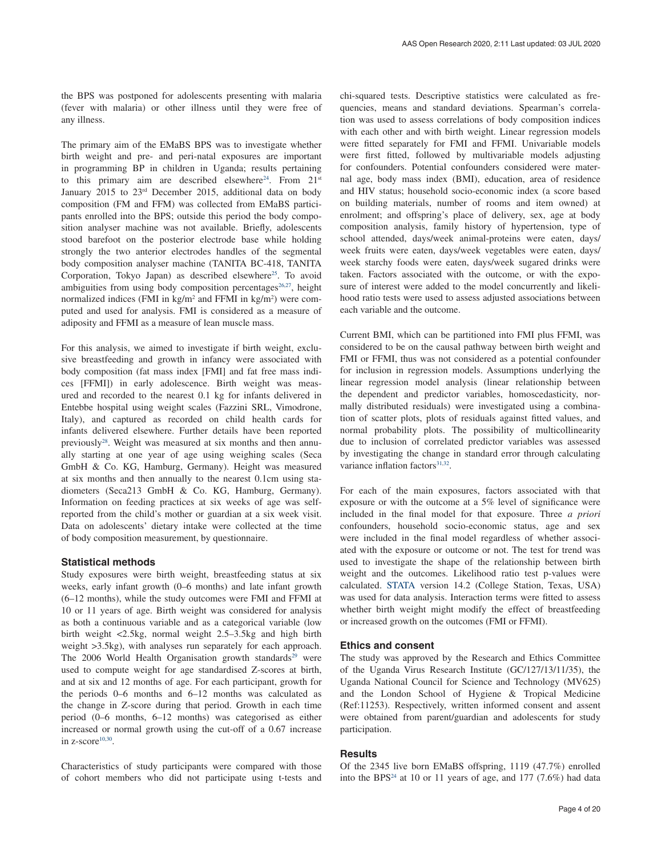the BPS was postponed for adolescents presenting with malaria (fever with malaria) or other illness until they were free of any illness.

The primary aim of the EMaBS BPS was to investigate whether birth weight and pre- and peri-natal exposures are important in programming BP in children in Uganda; results pertaining to this primary aim are described elsewhere<sup>24</sup>. From  $21<sup>st</sup>$ January 2015 to 23rd December 2015, additional data on body composition (FM and FFM) was collected from EMaBS participants enrolled into the BPS; outside this period the body composition analyser machine was not available. Briefly, adolescents stood barefoot on the posterior electrode base while holding strongly the two anterior electrodes handles of the segmental body composition analyser machine (TANITA BC-418, TANITA Corporation, Tokyo Japan) as described elsewhere<sup>25</sup>. To avoid ambiguities from using body composition percentages<sup>[26,27](#page-8-0)</sup>, height normalized indices (FMI in kg/m<sup>2</sup> and FFMI in kg/m<sup>2</sup>) were computed and used for analysis. FMI is considered as a measure of adiposity and FFMI as a measure of lean muscle mass.

For this analysis, we aimed to investigate if birth weight, exclusive breastfeeding and growth in infancy were associated with body composition (fat mass index [FMI] and fat free mass indices [FFMI]) in early adolescence. Birth weight was measured and recorded to the nearest 0.1 kg for infants delivered in Entebbe hospital using weight scales (Fazzini SRL, Vimodrone, Italy), and captured as recorded on child health cards for infants delivered elsewhere. Further details have been reported previousl[y28.](#page-8-0) Weight was measured at six months and then annually starting at one year of age using weighing scales (Seca GmbH & Co. KG, Hamburg, Germany). Height was measured at six months and then annually to the nearest 0.1cm using stadiometers (Seca213 GmbH & Co. KG, Hamburg, Germany). Information on feeding practices at six weeks of age was selfreported from the child's mother or guardian at a six week visit. Data on adolescents' dietary intake were collected at the time of body composition measurement, by questionnaire.

#### **Statistical methods**

Study exposures were birth weight, breastfeeding status at six weeks, early infant growth (0–6 months) and late infant growth (6–12 months), while the study outcomes were FMI and FFMI at 10 or 11 years of age. Birth weight was considered for analysis as both a continuous variable and as a categorical variable (low birth weight <2.5kg, normal weight 2.5–3.5kg and high birth weight >3.5kg), with analyses run separately for each approach. The 2006 World Health Organisation growth standards<sup>[29](#page-8-0)</sup> were used to compute weight for age standardised Z-scores at birth, and at six and 12 months of age. For each participant, growth for the periods 0–6 months and 6–12 months was calculated as the change in Z-score during that period. Growth in each time period (0–6 months, 6–12 months) was categorised as either increased or normal growth using the cut-off of a 0.67 increase in  $z$ -score<sup>10,30</sup>.

Characteristics of study participants were compared with those of cohort members who did not participate using t-tests and chi-squared tests. Descriptive statistics were calculated as frequencies, means and standard deviations. Spearman's correlation was used to assess correlations of body composition indices with each other and with birth weight. Linear regression models were fitted separately for FMI and FFMI. Univariable models were first fitted, followed by multivariable models adjusting for confounders. Potential confounders considered were maternal age, body mass index (BMI), education, area of residence and HIV status; household socio-economic index (a score based on building materials, number of rooms and item owned) at enrolment; and offspring's place of delivery, sex, age at body composition analysis, family history of hypertension, type of school attended, days/week animal-proteins were eaten, days/ week fruits were eaten, days/week vegetables were eaten, days/ week starchy foods were eaten, days/week sugared drinks were taken. Factors associated with the outcome, or with the exposure of interest were added to the model concurrently and likelihood ratio tests were used to assess adjusted associations between each variable and the outcome.

Current BMI, which can be partitioned into FMI plus FFMI, was considered to be on the causal pathway between birth weight and FMI or FFMI, thus was not considered as a potential confounder for inclusion in regression models. Assumptions underlying the linear regression model analysis (linear relationship between the dependent and predictor variables, homoscedasticity, normally distributed residuals) were investigated using a combination of scatter plots, plots of residuals against fitted values, and normal probability plots. The possibility of multicollinearity due to inclusion of correlated predictor variables was assessed by investigating the change in standard error through calculating variance inflation factors<sup>31,32</sup>.

For each of the main exposures, factors associated with that exposure or with the outcome at a 5% level of significance were included in the final model for that exposure. Three *a priori* confounders, household socio-economic status, age and sex were included in the final model regardless of whether associated with the exposure or outcome or not. The test for trend was used to investigate the shape of the relationship between birth weight and the outcomes. Likelihood ratio test p-values were calculated. [STATA](https://www.stata.com/) version 14.2 (College Station, Texas, USA) was used for data analysis. Interaction terms were fitted to assess whether birth weight might modify the effect of breastfeeding or increased growth on the outcomes (FMI or FFMI).

### **Ethics and consent**

The study was approved by the Research and Ethics Committee of the Uganda Virus Research Institute (GC/127/13/11/35), the Uganda National Council for Science and Technology (MV625) and the London School of Hygiene & Tropical Medicine (Ref:11253). Respectively, written informed consent and assent were obtained from parent/guardian and adolescents for study participation.

### **Results**

Of the 2345 live born EMaBS offspring, 1119 (47.7%) enrolled into the BPS<sup>24</sup> at 10 or 11 years of age, and 177  $(7.6%)$  had data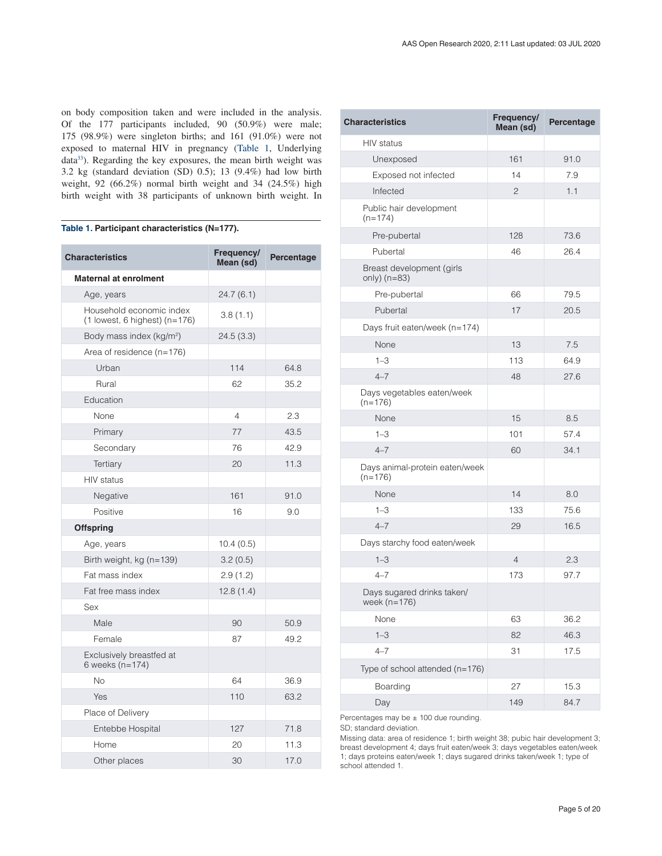on body composition taken and were included in the analysis. Of the 177 participants included, 90 (50.9%) were male; 175 (98.9%) were singleton births; and 161 (91.0%) were not exposed to maternal HIV in pregnancy (Table 1, Underlying data<sup>[33](#page-8-0)</sup>). Regarding the key exposures, the mean birth weight was 3.2 kg (standard deviation (SD) 0.5); 13 (9.4%) had low birth weight, 92 (66.2%) normal birth weight and 34 (24.5%) high birth weight with 38 participants of unknown birth weight. In

## **Table 1. Participant characteristics (N=177).**

| <b>Characteristics</b>                                        | Frequency/<br>Percentage<br>Mean (sd) |      |  |
|---------------------------------------------------------------|---------------------------------------|------|--|
| <b>Maternal at enrolment</b>                                  |                                       |      |  |
| Age, years                                                    | 24.7(6.1)                             |      |  |
| Household economic index<br>$(1$ lowest, 6 highest) $(n=176)$ | 3.8(1.1)                              |      |  |
| Body mass index (kg/m <sup>2</sup> )                          | 24.5(3.3)                             |      |  |
| Area of residence (n=176)                                     |                                       |      |  |
| Urban                                                         | 114<br>64.8                           |      |  |
| Rural                                                         | 62                                    | 35.2 |  |
| Education                                                     |                                       |      |  |
| None                                                          | 4                                     | 2.3  |  |
| Primary                                                       | 77                                    | 43.5 |  |
| Secondary                                                     | 76                                    | 42.9 |  |
| Tertiary                                                      | 20                                    | 11.3 |  |
| <b>HIV</b> status                                             |                                       |      |  |
| Negative                                                      | 161                                   | 91.0 |  |
| Positive                                                      | 16                                    | 9.0  |  |
| <b>Offspring</b>                                              |                                       |      |  |
| Age, years                                                    | 10.4(0.5)                             |      |  |
| Birth weight, kg (n=139)                                      | 3.2(0.5)                              |      |  |
| Fat mass index                                                | 2.9(1.2)                              |      |  |
| Fat free mass index                                           | 12.8(1.4)                             |      |  |
| Sex                                                           |                                       |      |  |
| Male                                                          | 90                                    | 50.9 |  |
| Female                                                        | 87                                    | 49.2 |  |
| Exclusively breastfed at<br>6 weeks (n=174)                   |                                       |      |  |
| <b>No</b>                                                     | 64                                    | 36.9 |  |
| Yes                                                           | 110<br>63.2                           |      |  |
| Place of Delivery                                             |                                       |      |  |
| Entebbe Hospital                                              | 127<br>71.8                           |      |  |
| Home                                                          | 20<br>11.3                            |      |  |
| Other places                                                  | 30                                    | 17.0 |  |

| <b>Characteristics</b>                       | Frequency/<br>Mean (sd) | Percentage |  |
|----------------------------------------------|-------------------------|------------|--|
| <b>HIV</b> status                            |                         |            |  |
| Unexposed                                    | 161                     | 91.0       |  |
| Exposed not infected                         | 14                      | 7.9        |  |
| Infected                                     | $\mathbf{2}$            | 1.1        |  |
| Public hair development<br>$(n=174)$         |                         |            |  |
| Pre-pubertal                                 | 128                     | 73.6       |  |
| Pubertal                                     | 46                      | 26.4       |  |
| Breast development (girls<br>only) $(n=83)$  |                         |            |  |
| Pre-pubertal                                 | 66                      | 79.5       |  |
| Pubertal                                     | 17                      | 20.5       |  |
| Days fruit eaten/week (n=174)                |                         |            |  |
| None                                         | 13                      | 7.5        |  |
| $1 - 3$                                      | 113                     | 64.9       |  |
| $4 - 7$                                      | 48                      | 27.6       |  |
| Days vegetables eaten/week<br>$(n=176)$      |                         |            |  |
| None                                         | 15                      | 8.5        |  |
| $1 - 3$                                      | 101                     | 57.4       |  |
| $4 - 7$                                      | 60                      | 34.1       |  |
| Days animal-protein eaten/week<br>$(n=176)$  |                         |            |  |
| None                                         | 14                      | 8.0        |  |
| $1 - 3$                                      | 133                     | 75.6       |  |
| $4 - 7$                                      | 29                      | 16.5       |  |
| Days starchy food eaten/week                 |                         |            |  |
| $1 - 3$                                      | $\overline{4}$          | 2.3        |  |
| $4 - 7$                                      | 173                     | 97.7       |  |
| Days sugared drinks taken/<br>week $(n=176)$ |                         |            |  |
| None                                         | 63                      | 36.2       |  |
| $1 - 3$                                      | 82                      | 46.3       |  |
| $4 - 7$                                      | 31                      | 17.5       |  |
| Type of school attended (n=176)              |                         |            |  |
| Boarding                                     | 27                      | 15.3       |  |
| Day                                          | 149                     | 84.7       |  |
| Percentages may be $\pm$ 100 due rounding.   |                         |            |  |

SD; standard deviation.

Missing data: area of residence 1; birth weight 38; pubic hair development 3; breast development 4; days fruit eaten/week 3; days vegetables eaten/week 1; days proteins eaten/week 1; days sugared drinks taken/week 1; type of school attended 1.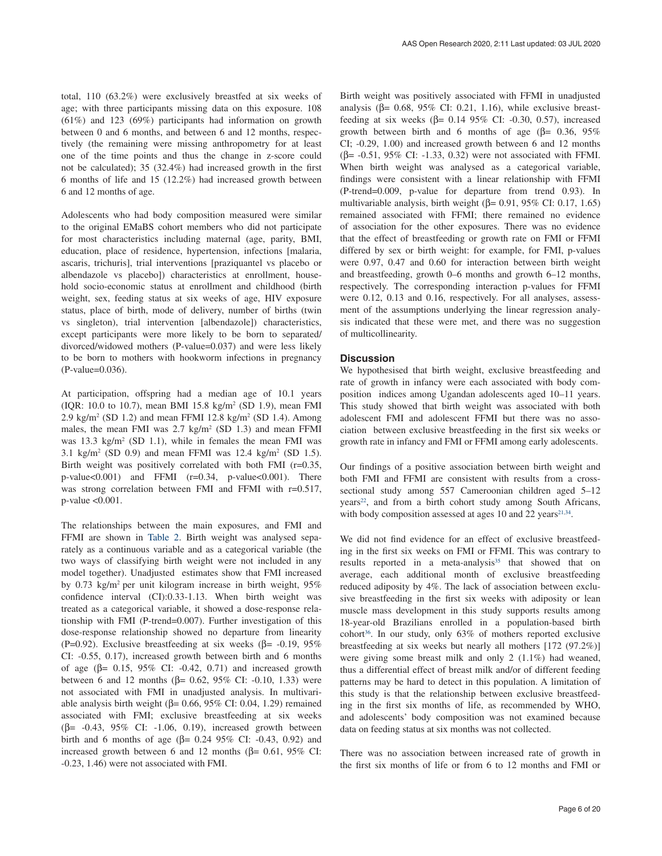total, 110 (63.2%) were exclusively breastfed at six weeks of age; with three participants missing data on this exposure. 108 (61%) and 123 (69%) participants had information on growth between 0 and 6 months, and between 6 and 12 months, respectively (the remaining were missing anthropometry for at least one of the time points and thus the change in z-score could not be calculated); 35 (32.4%) had increased growth in the first 6 months of life and 15 (12.2%) had increased growth between 6 and 12 months of age.

Adolescents who had body composition measured were similar to the original EMaBS cohort members who did not participate for most characteristics including maternal (age, parity, BMI, education, place of residence, hypertension, infections [malaria, ascaris, trichuris], trial interventions [praziquantel vs placebo or albendazole vs placebo]) characteristics at enrollment, household socio-economic status at enrollment and childhood (birth weight, sex, feeding status at six weeks of age, HIV exposure status, place of birth, mode of delivery, number of births (twin vs singleton), trial intervention [albendazole]) characteristics, except participants were more likely to be born to separated/ divorced/widowed mothers (P-value=0.037) and were less likely to be born to mothers with hookworm infections in pregnancy (P-value=0.036).

At participation, offspring had a median age of 10.1 years (IQR: 10.0 to 10.7), mean BMI 15.8 kg/m2 (SD 1.9), mean FMI  $2.9 \text{ kg/m}^2 \text{ (SD 1.2)}$  and mean FFMI 12.8 kg/m<sup>2</sup> (SD 1.4). Among males, the mean FMI was  $2.7 \text{ kg/m}^2$  (SD 1.3) and mean FFMI was  $13.3 \text{ kg/m}^2$  (SD 1.1), while in females the mean FMI was 3.1 kg/m<sup>2</sup> (SD 0.9) and mean FFMI was  $12.4 \text{ kg/m}^2$  (SD 1.5). Birth weight was positively correlated with both FMI (r=0.35, p-value $<0.001$ ) and FFMI (r=0.34, p-value $<0.001$ ). There was strong correlation between FMI and FFMI with r=0.517, p-value <0.001.

The relationships between the main exposures, and FMI and FFMI are shown in [Table 2.](#page-6-0) Birth weight was analysed separately as a continuous variable and as a categorical variable (the two ways of classifying birth weight were not included in any model together). Unadjusted estimates show that FMI increased by 0.73 kg/m2 per unit kilogram increase in birth weight, 95% confidence interval (CI):0.33-1.13. When birth weight was treated as a categorical variable, it showed a dose-response relationship with FMI (P-trend=0.007). Further investigation of this dose-response relationship showed no departure from linearity (P=0.92). Exclusive breastfeeding at six weeks ( $\beta$ = -0.19, 95%) CI: -0.55, 0.17), increased growth between birth and 6 months of age ( $β = 0.15$ ,  $95\%$  CI:  $-0.42$ ,  $0.71$ ) and increased growth between 6 and 12 months (β= 0.62, 95% CI: -0.10, 1.33) were not associated with FMI in unadjusted analysis. In multivariable analysis birth weight ( $β = 0.66$ , 95% CI: 0.04, 1.29) remained associated with FMI; exclusive breastfeeding at six weeks  $(\beta = -0.43, 95\% \text{ CI: } -1.06, 0.19)$ , increased growth between birth and 6 months of age (β=  $0.24$  95% CI: -0.43, 0.92) and increased growth between 6 and 12 months ( $β = 0.61$ , 95% CI: -0.23, 1.46) were not associated with FMI.

Birth weight was positively associated with FFMI in unadjusted analysis ( $β = 0.68$ ,  $95%$  CI: 0.21, 1.16), while exclusive breastfeeding at six weeks ( $\beta$ = 0.14 95% CI: -0.30, 0.57), increased growth between birth and 6 months of age (β= 0.36, 95%) CI; -0.29, 1.00) and increased growth between 6 and 12 months ( $\beta$ = -0.51, 95% CI: -1.33, 0.32) were not associated with FFMI. When birth weight was analysed as a categorical variable, findings were consistent with a linear relationship with FFMI (P-trend=0.009, p-value for departure from trend 0.93). In multivariable analysis, birth weight ( $\beta$ = 0.91, 95% CI: 0.17, 1.65) remained associated with FFMI; there remained no evidence of association for the other exposures. There was no evidence that the effect of breastfeeding or growth rate on FMI or FFMI differed by sex or birth weight: for example, for FMI, p-values were 0.97, 0.47 and 0.60 for interaction between birth weight and breastfeeding, growth 0–6 months and growth 6–12 months, respectively. The corresponding interaction p-values for FFMI were 0.12, 0.13 and 0.16, respectively. For all analyses, assessment of the assumptions underlying the linear regression analysis indicated that these were met, and there was no suggestion of multicollinearity.

#### **Discussion**

We hypothesised that birth weight, exclusive breastfeeding and rate of growth in infancy were each associated with body composition indices among Ugandan adolescents aged 10–11 years. This study showed that birth weight was associated with both adolescent FMI and adolescent FFMI but there was no association between exclusive breastfeeding in the first six weeks or growth rate in infancy and FMI or FFMI among early adolescents.

Our findings of a positive association between birth weight and both FMI and FFMI are consistent with results from a crosssectional study among 557 Cameroonian children aged 5–12 years<sup>22</sup>, and from a birth cohort study among South Africans, with body composition assessed at ages 10 and 22 years $2^{1,34}$ .

We did not find evidence for an effect of exclusive breastfeeding in the first six weeks on FMI or FFMI. This was contrary to results reported in a meta-analysis<sup>[35](#page-8-0)</sup> that showed that on average, each additional month of exclusive breastfeeding reduced adiposity by 4%. The lack of association between exclusive breastfeeding in the first six weeks with adiposity or lean muscle mass development in this study supports results among 18-year-old Brazilians enrolled in a population-based birth cohort<sup>36</sup>. In our study, only  $63\%$  of mothers reported exclusive breastfeeding at six weeks but nearly all mothers [172 (97.2%)] were giving some breast milk and only 2 (1.1%) had weaned, thus a differential effect of breast milk and/or of different feeding patterns may be hard to detect in this population. A limitation of this study is that the relationship between exclusive breastfeeding in the first six months of life, as recommended by WHO, and adolescents' body composition was not examined because data on feeding status at six months was not collected.

There was no association between increased rate of growth in the first six months of life or from 6 to 12 months and FMI or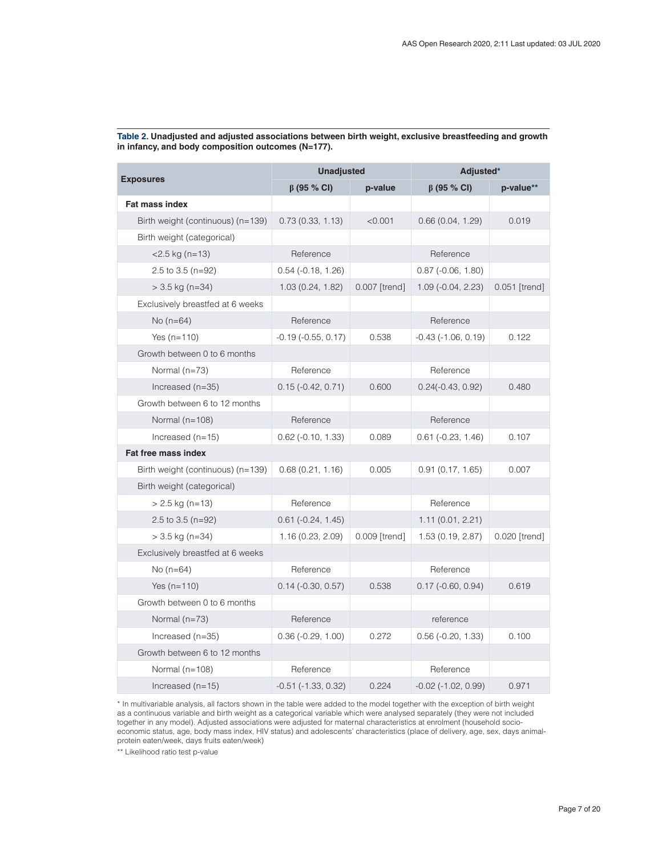| <b>Exposures</b>                  | <b>Unadjusted</b>           |               | Adjusted*                    |               |
|-----------------------------------|-----------------------------|---------------|------------------------------|---------------|
|                                   | $\beta$ (95 % CI)           | p-value       | $\beta$ (95 % CI)            | p-value**     |
| <b>Fat mass index</b>             |                             |               |                              |               |
| Birth weight (continuous) (n=139) | 0.73(0.33, 1.13)            | < 0.001       | 0.66(0.04, 1.29)             | 0.019         |
| Birth weight (categorical)        |                             |               |                              |               |
| $<$ 2.5 kg (n=13)                 | Reference                   |               | Reference                    |               |
| 2.5 to 3.5 ( $n=92$ )             | $0.54$ ( $-0.18$ , $1.26$ ) |               | $0.87$ ( $-0.06$ , $1.80$ )  |               |
| $>$ 3.5 kg (n=34)                 | 1.03(0.24, 1.82)            | 0.007 [trend] | $1.09(-0.04, 2.23)$          | 0.051 [trend] |
| Exclusively breastfed at 6 weeks  |                             |               |                              |               |
| No $(n=64)$                       | Reference                   |               | Reference                    |               |
| Yes $(n=110)$                     | $-0.19$ $(-0.55, 0.17)$     | 0.538         | $-0.43$ $(-1.06, 0.19)$      | 0.122         |
| Growth between 0 to 6 months      |                             |               |                              |               |
| Normal $(n=73)$                   | Reference                   |               | Reference                    |               |
| Increased (n=35)                  | $0.15(-0.42, 0.71)$         | 0.600         | $0.24(-0.43, 0.92)$          | 0.480         |
| Growth between 6 to 12 months     |                             |               |                              |               |
| Normal $(n=108)$                  | Reference                   |               | Reference                    |               |
| Increased $(n=15)$                | $0.62$ ( $-0.10, 1.33$ )    | 0.089         | $0.61$ ( $-0.23$ , 1.46)     | 0.107         |
| <b>Fat free mass index</b>        |                             |               |                              |               |
| Birth weight (continuous) (n=139) | 0.68(0.21, 1.16)            | 0.005         | 0.91(0.17, 1.65)             | 0.007         |
| Birth weight (categorical)        |                             |               |                              |               |
| $> 2.5$ kg (n=13)                 | Reference                   |               | Reference                    |               |
| 2.5 to 3.5 ( $n=92$ )             | $0.61$ ( $-0.24$ , 1.45)    |               | 1.11(0.01, 2.21)             |               |
| $>$ 3.5 kg (n=34)                 | 1.16(0.23, 2.09)            | 0.009 [trend] | 1.53 (0.19, 2.87)            | 0.020 [trend] |
| Exclusively breastfed at 6 weeks  |                             |               |                              |               |
| No $(n=64)$                       | Reference                   |               | Reference                    |               |
| Yes $(n=110)$                     | $0.14$ ( $-0.30$ , $0.57$ ) | 0.538         | $0.17$ ( $-0.60, 0.94$ )     | 0.619         |
| Growth between 0 to 6 months      |                             |               |                              |               |
| Normal $(n=73)$                   | Reference                   |               | reference                    |               |
| Increased $(n=35)$                | $0.36(-0.29, 1.00)$         | 0.272         | $0.56$ ( $-0.20$ , $1.33$ )  | 0.100         |
| Growth between 6 to 12 months     |                             |               |                              |               |
| Normal $(n=108)$                  | Reference                   |               | Reference                    |               |
| Increased $(n=15)$                | $-0.51$ $(-1.33, 0.32)$     | 0.224         | $-0.02$ ( $-1.02$ , $0.99$ ) | 0.971         |

<span id="page-6-0"></span>**Table 2. Unadjusted and adjusted associations between birth weight, exclusive breastfeeding and growth in infancy, and body composition outcomes (N=177).**

\* In multivariable analysis, all factors shown in the table were added to the model together with the exception of birth weight as a continuous variable and birth weight as a categorical variable which were analysed separately (they were not included together in any model). Adjusted associations were adjusted for maternal characteristics at enrolment (household socioeconomic status, age, body mass index, HIV status) and adolescents' characteristics (place of delivery, age, sex, days animalprotein eaten/week, days fruits eaten/week)

\*\* Likelihood ratio test p-value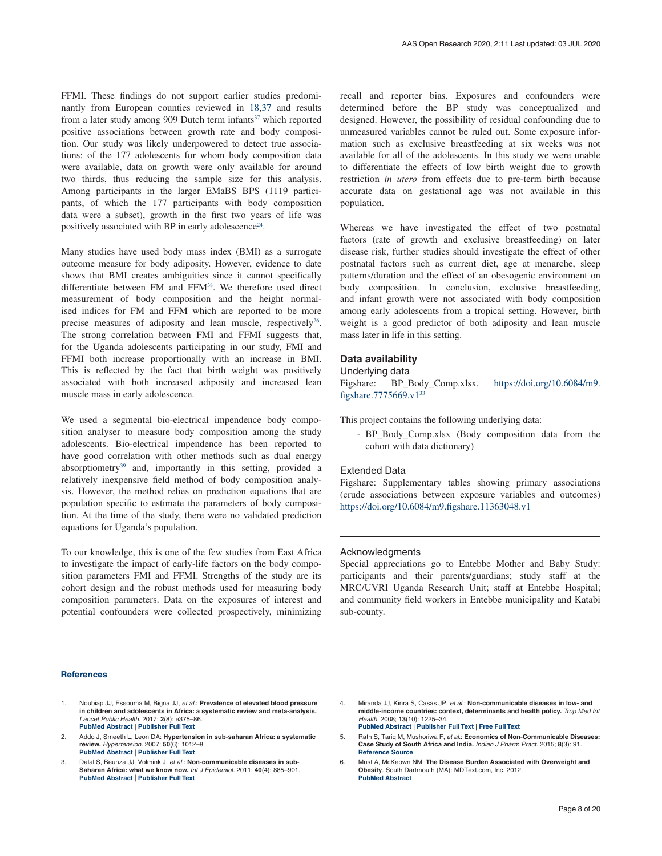<span id="page-7-0"></span>FFMI. These findings do not support earlier studies predominantly from European counties reviewed in [18,37](#page-8-0) and results from a later study among 909 Dutch term infants<sup>37</sup> which reported positive associations between growth rate and body composition. Our study was likely underpowered to detect true associations: of the 177 adolescents for whom body composition data were available, data on growth were only available for around two thirds, thus reducing the sample size for this analysis. Among participants in the larger EMaBS BPS (1119 participants, of which the 177 participants with body composition data were a subset), growth in the first two years of life was positively associated with BP in early adolescence<sup>[24](#page-8-0)</sup>.

Many studies have used body mass index (BMI) as a surrogate outcome measure for body adiposity. However, evidence to date shows that BMI creates ambiguities since it cannot specifically differentiate between FM and FFM<sup>[38](#page-8-0)</sup>. We therefore used direct measurement of body composition and the height normalised indices for FM and FFM which are reported to be more precise measures of adiposity and lean muscle, respectively<sup>26</sup>. The strong correlation between FMI and FFMI suggests that, for the Uganda adolescents participating in our study, FMI and FFMI both increase proportionally with an increase in BMI. This is reflected by the fact that birth weight was positively associated with both increased adiposity and increased lean muscle mass in early adolescence.

We used a segmental bio-electrical impendence body composition analyser to measure body composition among the study adolescents. Bio-electrical impendence has been reported to have good correlation with other methods such as dual energy absorptiometry<sup>39</sup> and, importantly in this setting, provided a relatively inexpensive field method of body composition analysis. However, the method relies on prediction equations that are population specific to estimate the parameters of body composition. At the time of the study, there were no validated prediction equations for Uganda's population.

To our knowledge, this is one of the few studies from East Africa to investigate the impact of early-life factors on the body composition parameters FMI and FFMI. Strengths of the study are its cohort design and the robust methods used for measuring body composition parameters. Data on the exposures of interest and potential confounders were collected prospectively, minimizing

**References**

1. Noubiap JJ, Essouma M, Bigna JJ, *et al.*: **Prevalence of elevated blood pressure in children and adolescents in Africa: a systematic review and meta-analysis.** *Lancet Public Health.* 2017; **2**(8): e375–86. **PubMed [Abstract](http://www.ncbi.nlm.nih.gov/pubmed/29253478)** | **[Publisher](http://dx.doi.org/10.1016/S2468-2667(17)30123-8) Full Text**

- 2. Addo J, Smeeth L, Leon DA: **Hypertension in sub-saharan Africa: a systematic review.** *Hypertension.* 2007; **50**(6): 1012–8. **PubMed [Abstract](http://www.ncbi.nlm.nih.gov/pubmed/17954720)** | **[Publisher](http://dx.doi.org/10.1161/HYPERTENSIONAHA.107.093336) Full Text**
- 3. Dalal S, Beunza JJ, Volmink J, *et al.*: **Non-communicable diseases in sub-Saharan Africa: what we know now.** *Int J Epidemiol.* 2011; **40**(4): 885–901. **PubMed [Abstract](http://www.ncbi.nlm.nih.gov/pubmed/21527446)** | **[Publisher](http://dx.doi.org/10.1093/ije/dyr050) Full Text**

recall and reporter bias. Exposures and confounders were determined before the BP study was conceptualized and designed. However, the possibility of residual confounding due to unmeasured variables cannot be ruled out. Some exposure information such as exclusive breastfeeding at six weeks was not available for all of the adolescents. In this study we were unable to differentiate the effects of low birth weight due to growth restriction *in utero* from effects due to pre-term birth because accurate data on gestational age was not available in this population.

Whereas we have investigated the effect of two postnatal factors (rate of growth and exclusive breastfeeding) on later disease risk, further studies should investigate the effect of other postnatal factors such as current diet, age at menarche, sleep patterns/duration and the effect of an obesogenic environment on body composition. In conclusion, exclusive breastfeeding, and infant growth were not associated with body composition among early adolescents from a tropical setting. However, birth weight is a good predictor of both adiposity and lean muscle mass later in life in this setting.

### **Data availability**

#### Underlying data

Figshare: BP\_Body\_Comp.xlsx. [https://doi.org/10.6084/m9.](https://dx.doi.org/10.6084/m9.figshare.7775669.v1) [figshare.7775669.v1](https://dx.doi.org/10.6084/m9.figshare.7775669.v1)[33](#page-8-0)

This project contains the following underlying data:

- BP\_Body\_Comp.xlsx (Body composition data from the cohort with data dictionary)

#### Extended Data

Figshare: Supplementary tables showing primary associations (crude associations between exposure variables and outcomes) <https://doi.org/10.6084/m9.figshare.11363048.v1>

#### Acknowledgments

Special appreciations go to Entebbe Mother and Baby Study: participants and their parents/guardians; study staff at the MRC/UVRI Uganda Research Unit; staff at Entebbe Hospital; and community field workers in Entebbe municipality and Katabi sub-county.

- 4. Miranda JJ, Kinra S, Casas JP, *et al.*: **Non-communicable diseases in low- and middle-income countries: context, determinants and health policy.** *Trop Med Int Health.* 2008; **13**(10): 1225–34. **PubMed [Abstract](http://www.ncbi.nlm.nih.gov/pubmed/18937743)** | **[Publisher](http://dx.doi.org/10.1111/j.1365-3156.2008.02116.x) Full Text** | **[Free](http://www.ncbi.nlm.nih.gov/pmc/articles/2687091) Full Text**
- 5. Rath S, Tariq M, Mushoriwa F, *et al.*: **Economics of Non-Communicable Diseases: Case Study of South Africa and India.** *Indian J Pharm Pract.* 2015; **8**(3): 91. **[Reference](http://www.ijopp.org/article/411) Source**
- 6. Must A, McKeown NM: **The Disease Burden Associated with Overweight and Obesity**. South Dartmouth (MA): MDText.com, Inc. 2012. **PubMed [Abstract](http://www.ncbi.nlm.nih.gov/pubmed/25905320)**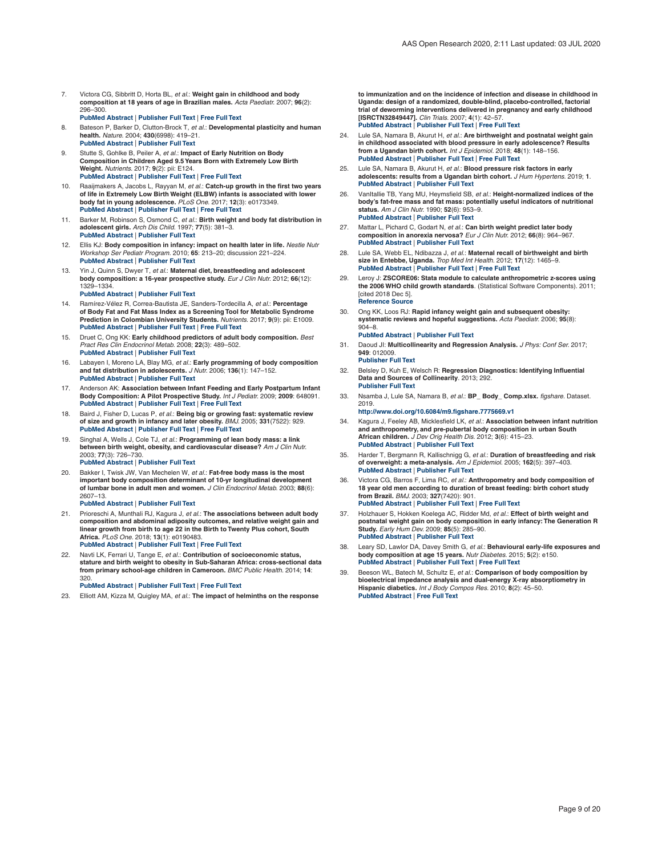- <span id="page-8-0"></span>7. Victora CG, Sibbritt D, Horta BL, *et al.*: **Weight gain in childhood and body composition at 18 years of age in Brazilian males.** *Acta Paediatr.* 2007; **96**(2): 296–300. **PubMed [Abstract](http://www.ncbi.nlm.nih.gov/pubmed/17429924)** | **[Publisher](http://dx.doi.org/10.1111/j.1651-2227.2007.00110.x) Full Text** | **[Free](http://www.ncbi.nlm.nih.gov/pmc/articles/2064197) Full Text**
- 8. Bateson P, Barker D, Clutton-Brock T, *et al.*: **Developmental plasticity and human health.** *Nature.* 2004; **430**(6998): 419–21. **PubMed [Abstract](http://www.ncbi.nlm.nih.gov/pubmed/15269759)** | **[Publisher](http://dx.doi.org/10.1038/nature02725) Full Text**
- 9. Stutte S, Gohlke B, Peiler A, *et al.*: Impact of Early Nutrition on Body<br>Composition in Children Aged 9.5 Years Born with Extremely Low Birth **Weight.** *Nutrients.* 2017; **9**(2): pii: E124. **PubMed [Abstract](http://www.ncbi.nlm.nih.gov/pubmed/28208596)** | **[Publisher](http://dx.doi.org/10.3390/nu9020124) Full Text** | **[Free](http://www.ncbi.nlm.nih.gov/pmc/articles/5331555) Full Text**
- 10. Raaijmakers A, Jacobs L, Rayyan M, *et al.*: **Catch-up growth in the first two years of life in Extremely Low Birth Weight (ELBW) infants is associated with lower body fat in young adolescence.** *PLoS One.* 2017; **12**(3): e0173349. **PubMed [Abstract](http://www.ncbi.nlm.nih.gov/pubmed/28278233)** | **[Publisher](http://dx.doi.org/10.1371/journal.pone.0173349) Full Text** | **[Free](http://www.ncbi.nlm.nih.gov/pmc/articles/5344416) Full Text**
- 11. Barker M, Robinson S, Osmond C, *et al.*: **Birth weight and body fat distribution in adolescent girls.** *Arch Dis Child.* 1997; **77**(5): 381–3. **PubMed [Abstract](http://www.ncbi.nlm.nih.gov/pubmed/9487954)** | **[Publisher](http://dx.doi.org/10.1136/adc.77.5.381) Full Text**
- 12. Ellis KJ: **Body composition in infancy: impact on health later in life.** *Nestle Nutr Workshop Ser Pediatr Program.* 2010; **65**: 213–20; discussion 221–224. **PubMed [Abstract](http://www.ncbi.nlm.nih.gov/pubmed/20139684)** | **[Publisher](http://dx.doi.org/10.1159/000281168) Full Text**
- 13. Yin J, Quinn S, Dwyer T, *et al.*: **Maternal diet, breastfeeding and adolescent body composition: a 16-year prospective study.** *Eur J Clin Nutr.* 2012; **66**(12): 1329–1334.
	- **PubMed [Abstract](http://www.ncbi.nlm.nih.gov/pubmed/23047715)** | **[Publisher](http://dx.doi.org/10.1038/ejcn.2012.122) Full Text**
- 14. Ramírez-Vélez R, Correa-Bautista JE, Sanders-Tordecilla A, *et al.*: **Percentage of Body Fat and Fat Mass Index as a Screening Tool for Metabolic Syndrome Prediction in Colombian University Students.** *Nutrients.* 2017; **9**(9): pii: E1009. **PubMed [Abstract](http://www.ncbi.nlm.nih.gov/pubmed/28902162)** | **[Publisher](http://dx.doi.org/10.3390/nu9091009) Full Text** | **[Free](http://www.ncbi.nlm.nih.gov/pmc/articles/5622769) Full Text**
- 15. Druet C, Ong KK: **Early childhood predictors of adult body composition.** *Best Pract Res Clin Endocrinol Metab.* 2008; **22**(3): 489–502. **PubMed [Abstract](http://www.ncbi.nlm.nih.gov/pubmed/18538288)** | **[Publisher](http://dx.doi.org/10.1016/j.beem.2008.02.002) Full Text**
- 16. Labayen I, Moreno LA, Blay MG, *et al.*: **Early programming of body composition and fat distribution in adolescents.** *J Nutr.* 2006; **136**(1): 147–152. **PubMed [Abstract](http://www.ncbi.nlm.nih.gov/pubmed/16365074)** | **[Publisher](http://dx.doi.org/10.1093/jn/136.1.147) Full Text**
- 17. Anderson AK: **Association between Infant Feeding and Early Postpartum Infant Body Composition: A Pilot Prospective Study.** *Int J Pediatr.* 2009; **2009**: 648091. **PubMed [Abstract](http://www.ncbi.nlm.nih.gov/pubmed/20041019)** | **[Publisher](http://dx.doi.org/10.1155/2009/648091) Full Text** | **[Free](http://www.ncbi.nlm.nih.gov/pmc/articles/2778447) Full Text**
- 18. Baird J, Fisher D, Lucas P, *et al.*: **Being big or growing fast: systematic review of size and growth in infancy and later obesity.** *BMJ.* 2005; **331**(7522): 929. **PubMed [Abstract](http://www.ncbi.nlm.nih.gov/pubmed/16227306)** | **[Publisher](http://dx.doi.org/10.1136/bmj.38586.411273.E0) Full Text** | **[Free](http://www.ncbi.nlm.nih.gov/pmc/articles/1261184) Full Text**
- 19. Singhal A, Wells J, Cole TJ, *et al.*: **Programming of lean body mass: a link between birth weight, obesity, and cardiovascular disease?** *Am J Clin Nutr.* 2003; **77**(3): 726–730.
- **PubMed [Abstract](http://www.ncbi.nlm.nih.gov/pubmed/12600868)** | **[Publisher](http://dx.doi.org/10.1093/ajcn/77.3.726) Full Text**
- 20. Bakker I, Twisk JW, Van Mechelen W, *et al.*: **Fat-free body mass is the most** important body composition determinant of 10-yr longitudinal development<br>of lumbar bone in adult men and women. *J Clin Endocrinol Metab.* 2003; 88(6): 2607–13. **PubMed [Abstract](http://www.ncbi.nlm.nih.gov/pubmed/12788863)** | **[Publisher](http://dx.doi.org/10.1210/jc.2002-021538) Full Text**
	-
- 21. Prioreschi A, Munthali RJ, Kagura J, *et al.*: **The associations between adult body composition and abdominal adiposity outcomes, and relative weight gain and** linear growth from birth to age 22 in the Birth to Twenty Plus cohort, South<br>Africa. *PLoS One.* 2018; 13(1): e0190483. **PubMed [Abstract](http://www.ncbi.nlm.nih.gov/pubmed/29338002)** | **[Publisher](http://dx.doi.org/10.1371/journal.pone.0190483) Full Text** | **[Free](http://www.ncbi.nlm.nih.gov/pmc/articles/5770024) Full Text**
- 22. Navti LK, Ferrari U, Tange E, *et al.*: **Contribution of socioeconomic status, stature and birth weight to obesity in Sub-Saharan Africa: cross-sectional data from primary school-age children in Cameroon.** *BMC Public Health.* 2014; **14**: 320.

#### **PubMed [Abstract](http://www.ncbi.nlm.nih.gov/pubmed/24708806)** | **[Publisher](http://dx.doi.org/10.1186/1471-2458-14-320) Full Text** | **[Free](http://www.ncbi.nlm.nih.gov/pmc/articles/3983851) Full Text**

23. Elliott AM, Kizza M, Quigley MA, *et al.*: **The impact of helminths on the response**

**to immunization and on the incidence of infection and disease in childhood in Uganda: design of a randomized, double-blind, placebo-controlled, factorial trial of deworming interventions delivered in pregnancy and early childhood [ISRCTN32849447].** *Clin Trials.* 2007; **4**(1): 42–57. **PubMed [Abstract](http://www.ncbi.nlm.nih.gov/pubmed/17327245)** | **[Publisher](http://dx.doi.org/10.1177/1740774506075248) Full Text** | **[Free](http://www.ncbi.nlm.nih.gov/pmc/articles/2643383) Full Text**

- 24. Lule SA, Namara B, Akurut H, *et al.*: **Are birthweight and postnatal weight gain in childhood associated with blood pressure in early adolescence? Results from a Ugandan birth cohort.** *Int J Epidemiol.* 2018; **48**(1): 148–156. **PubMed [Abstract](http://www.ncbi.nlm.nih.gov/pubmed/29982658)** | **[Publisher](http://dx.doi.org/10.1093/ije/dyy118) Full Text** | **[Free](http://www.ncbi.nlm.nih.gov/pmc/articles/6380421) Full Text**
- 25. Lule SA, Namara B, Akurut H, *et al.*: **Blood pressure risk factors in early adolescents: results from a Ugandan birth cohort.** *J Hum Hypertens.* 2019; **1**. **PubMed [Abstract](http://www.ncbi.nlm.nih.gov/pubmed/30804461)** | **[Publisher](http://dx.doi.org/10.1038/s41371-019-0178-y) Full Text**
- 26. VanItallie TB, Yang MU, Heymsfield SB, *et al.*: **Height-normalized indices of the body's fat-free mass and fat mass: potentially useful indicators of nutritional status.** *Am J Clin Nutr.* 1990; **52**(6): 953–9. **PubMed [Abstract](http://www.ncbi.nlm.nih.gov/pubmed/2239792)** | **[Publisher](http://dx.doi.org/10.1093/ajcn/52.6.953) Full Text**
- 27. Mattar L, Pichard C, Godart N, *et al.*: **Can birth weight predict later body composition in anorexia nervosa?** *Eur J Clin Nutr.* 2012; **66**(8): 964–967. **PubMed [Abstract](http://www.ncbi.nlm.nih.gov/pubmed/22378228)** | **[Publisher](http://dx.doi.org/10.1038/ejcn.2012.21) Full Text**
- 28. Lule SA, Webb EL, Ndibazza J, et al.: Maternal recall of birthweight and birth size in Entebbe, Uganda. Trop Med Int Health. 2012; 17(12): 1465-9. **PubMed [Abstract](http://www.ncbi.nlm.nih.gov/pubmed/22994260)** | **[Publisher](http://dx.doi.org/10.1111/j.1365-3156.2012.03091.x) Full Text** | **[Free](http://www.ncbi.nlm.nih.gov/pmc/articles/3627817) Full Text**
- 29. Leroy J: **ZSCORE06: Stata module to calculate anthropometric z-scores using the 2006 WHO child growth standards**. (Statistical Software Components). 2011; [cited 2018 Dec 5]. **[Reference](https://econpapers.repec.org/software/bocbocode/s457279.htm) Source**

30. Ong KK, Loos RJ: **Rapid infancy weight gain and subsequent obesity: systematic reviews and hopeful suggestions.** *Acta Paediatr.* 2006; **95**(8): 904–8. **PubMed [Abstract](http://www.ncbi.nlm.nih.gov/pubmed/16882560)** | **[Publisher](http://dx.doi.org/10.1080/08035250600719754) Full Text**

31. Daoud JI: **Multicollinearity and Regression Analysis.** *J Phys: Conf Ser.* 2017; **949**: 012009.

**[Publisher](http://dx.doi.org/10.1088/1742-6596/949/1/012009) Full Text**

- 32. Belsley D, Kuh E, Welsch R: **Regression Diagnostics: Identifying Influential Data and Sources of Collinearity**. 2013; 292. **[Publisher](http://dx.doi.org/10.1002/0471725153) Full Text**
- 33. Nsamba J, Lule SA, Namara B, *et al.*: **BP\_ Body\_ Comp.xlsx.** *figshare.* Dataset. 2019. **<http://www.doi.org/10.6084/m9.figshare.7775669.v1>**

34. Kagura J, Feeley AB, Micklesfield LK, et al.: Association between infant nutrition<br>and anthropometry, and pre-pubertal body composition in urban South **African children.** *J Dev Orig Health Dis.* 2012; **3**(6): 415–23. **PubMed [Abstract](http://www.ncbi.nlm.nih.gov/pubmed/25084294)** | **[Publisher](http://dx.doi.org/10.1017/S2040174412000475) Full Text**

- 35. Harder T, Bergmann R, Kallischnigg G, *et al.*: **Duration of breastfeeding and risk of overweight: a meta-analysis.** *Am J Epidemiol.* 2005; **162**(5): 397–403. **PubMed [Abstract](http://www.ncbi.nlm.nih.gov/pubmed/16076830)** | **[Publisher](http://dx.doi.org/10.1093/aje/kwi222) Full Text**
- 36. Victora CG, Barros F, Lima RC, *et al.*: **Anthropometry and body composition of 18 year old men according to duration of breast feeding: birth cohort study from Brazil.** *BMJ.* 2003; **327**(7420): 901. **PubMed [Abstract](http://www.ncbi.nlm.nih.gov/pubmed/14563746)** | **[Publisher](http://dx.doi.org/10.1136/bmj.327.7420.901) Full Text** | **[Free](http://www.ncbi.nlm.nih.gov/pmc/articles/218812) Full Text**
- 37. Holzhauer S, Hokken Koelega AC, Ridder Md, *et al.*: **Effect of birth weight and postnatal weight gain on body composition in early infancy:The Generation R Study.** *Early Hum Dev.* 2009; **85**(5): 285–90. **PubMed [Abstract](http://www.ncbi.nlm.nih.gov/pubmed/19091495)** | **[Publisher](http://dx.doi.org/10.1016/j.earlhumdev.2008.11.002) Full Text**
- 38. Leary SD, Lawlor DA, Davey Smith G, *et al.*: **Behavioural early-life exposures and** body composition at age 15 years. Nutr Diabetes. 2015; 5(2): e150.<br>PubMed [Abstract](http://www.ncbi.nlm.nih.gov/pubmed/25664839) | [Publisher](http://dx.doi.org/10.1038/nutd.2014.47) Full Text | [Free](http://www.ncbi.nlm.nih.gov/pmc/articles/4338416) Full Text
- 39. Beeson WL, Batech M, Schultz E, *et al.*: **Comparison of body composition by bioelectrical impedance analysis and dual-energy X-ray absorptiometry in Hispanic diabetics.** *Int J Body Compos Res.* 2010; **8**(2): 45–50. **PubMed [Abstract](http://www.ncbi.nlm.nih.gov/pubmed/21318088)** | **[Free](http://www.ncbi.nlm.nih.gov/pmc/articles/3036537) Full Text**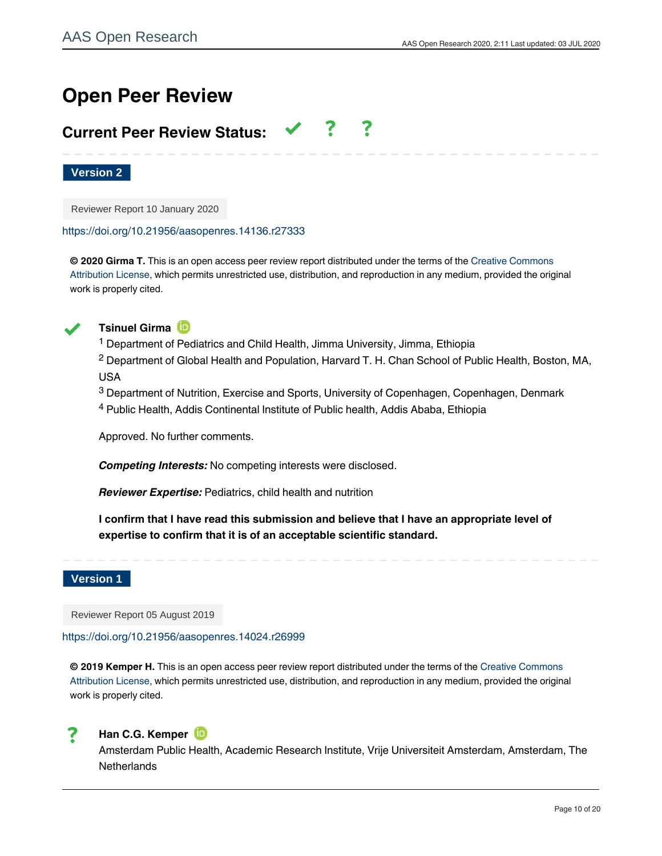# **Open Peer Review**

# **Current Peer Review Status:**

**Version 2**

Reviewer Report 10 January 2020

<https://doi.org/10.21956/aasopenres.14136.r27333>

**© 2020 Girma T.** This is an open access peer review report distributed under the terms of the [Creative Commons](https://creativecommons.org/licenses/by/4.0/) [Attribution License](https://creativecommons.org/licenses/by/4.0/), which permits unrestricted use, distribution, and reproduction in any medium, provided the original work is properly cited.



**Tsinuel Girma**

<sup>1</sup> Department of Pediatrics and Child Health, Jimma University, Jimma, Ethiopia

 $^2$  Department of Global Health and Population, Harvard T. H. Chan School of Public Health, Boston, MA, USA

 $^3$  Department of Nutrition, Exercise and Sports, University of Copenhagen, Copenhagen, Denmark

<sup>4</sup> Public Health, Addis Continental Institute of Public health, Addis Ababa, Ethiopia

Approved. No further comments.

*Competing Interests:* No competing interests were disclosed.

*Reviewer Expertise:* Pediatrics, child health and nutrition

**I confirm that I have read this submission and believe that I have an appropriate level of expertise to confirm that it is of an acceptable scientific standard.**

## **Version 1**

Reviewer Report 05 August 2019

<https://doi.org/10.21956/aasopenres.14024.r26999>

**© 2019 Kemper H.** This is an open access peer review report distributed under the terms of the [Creative Commons](https://creativecommons.org/licenses/by/4.0/) [Attribution License](https://creativecommons.org/licenses/by/4.0/), which permits unrestricted use, distribution, and reproduction in any medium, provided the original work is properly cited.



## **Han C.G. Kemper**

Amsterdam Public Health, Academic Research Institute, Vrije Universiteit Amsterdam, Amsterdam, The **Netherlands**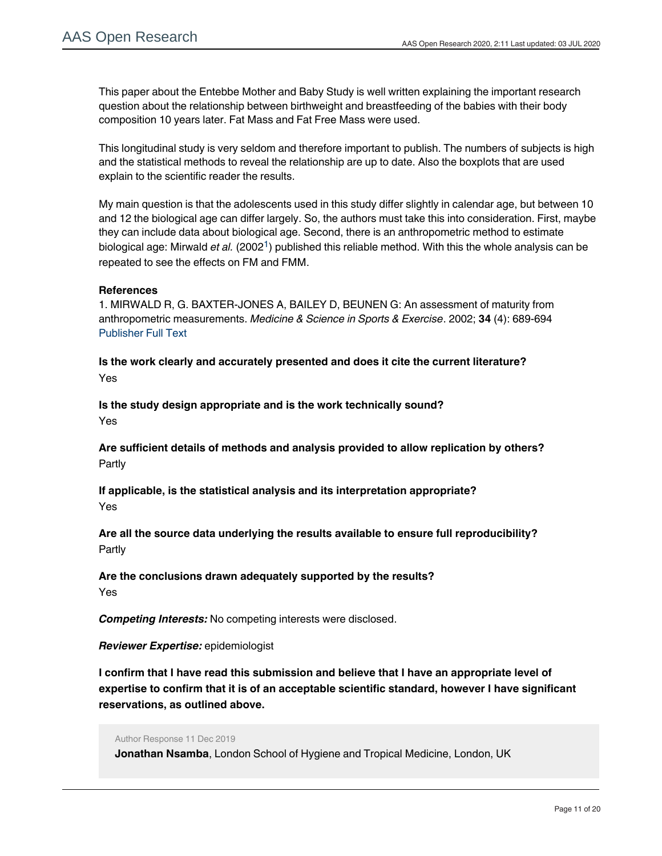This paper about the Entebbe Mother and Baby Study is well written explaining the important research question about the relationship between birthweight and breastfeeding of the babies with their body composition 10 years later. Fat Mass and Fat Free Mass were used.

This longitudinal study is very seldom and therefore important to publish. The numbers of subjects is high and the statistical methods to reveal the relationship are up to date. Also the boxplots that are used explain to the scientific reader the results.

My main question is that the adolescents used in this study differ slightly in calendar age, but between 10 and 12 the biological age can differ largely. So, the authors must take this into consideration. First, maybe they can include data about biological age. Second, there is an anthropometric method to estimate biological age: Mirwald *et al.* (2002<sup>[1](#page-10-0)</sup>) published this reliable method. With this the whole analysis can be repeated to see the effects on FM and FMM.

## **References**

<span id="page-10-0"></span>1. MIRWALD R, G. BAXTER-JONES A, BAILEY D, BEUNEN G: An assessment of maturity from anthropometric measurements. *Medicine & Science in Sports & Exercise*. 2002; **34** (4): 689-694 [Publisher Full Text](https://doi.org/10.1097/00005768-200204000-00020)

**Is the work clearly and accurately presented and does it cite the current literature?** Yes

**Is the study design appropriate and is the work technically sound?** Yes

**Are sufficient details of methods and analysis provided to allow replication by others?** Partly

**If applicable, is the statistical analysis and its interpretation appropriate?** Yes

**Are all the source data underlying the results available to ensure full reproducibility?** Partly

**Are the conclusions drawn adequately supported by the results?** Yes

*Competing Interests:* No competing interests were disclosed.

*Reviewer Expertise:* epidemiologist

**I confirm that I have read this submission and believe that I have an appropriate level of expertise to confirm that it is of an acceptable scientific standard, however I have significant reservations, as outlined above.**

Author Response 11 Dec 2019

**Jonathan Nsamba**, London School of Hygiene and Tropical Medicine, London, UK

Thanks so much Han C.G. Kemper for your insightful comments and feedback about the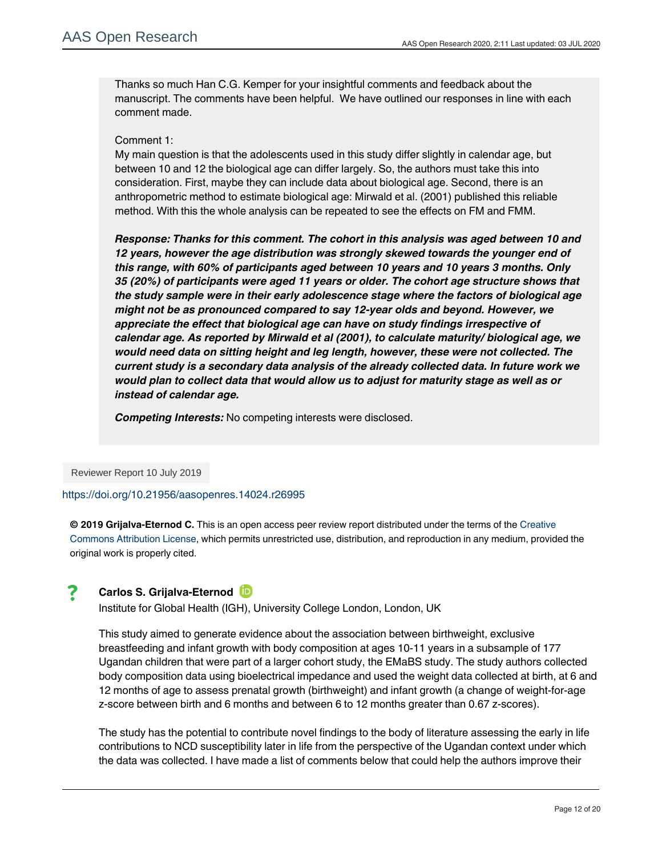Thanks so much Han C.G. Kemper for your insightful comments and feedback about the manuscript. The comments have been helpful. We have outlined our responses in line with each comment made.

## Comment 1:

My main question is that the adolescents used in this study differ slightly in calendar age, but between 10 and 12 the biological age can differ largely. So, the authors must take this into consideration. First, maybe they can include data about biological age. Second, there is an anthropometric method to estimate biological age: Mirwald et al. (2001) published this reliable method. With this the whole analysis can be repeated to see the effects on FM and FMM.

*Response: Thanks for this comment. The cohort in this analysis was aged between 10 and 12 years, however the age distribution was strongly skewed towards the younger end of this range, with 60% of participants aged between 10 years and 10 years 3 months. Only 35 (20%) of participants were aged 11 years or older. The cohort age structure shows that the study sample were in their early adolescence stage where the factors of biological age might not be as pronounced compared to say 12-year olds and beyond. However, we appreciate the effect that biological age can have on study findings irrespective of calendar age. As reported by Mirwald et al (2001), to calculate maturity/ biological age, we would need data on sitting height and leg length, however, these were not collected. The current study is a secondary data analysis of the already collected data. In future work we would plan to collect data that would allow us to adjust for maturity stage as well as or instead of calendar age.* 

*Competing Interests:* No competing interests were disclosed.

Reviewer Report 10 July 2019

<https://doi.org/10.21956/aasopenres.14024.r26995>

**© 2019 Grijalva-Eternod C.** This is an open access peer review report distributed under the terms of the [Creative](https://creativecommons.org/licenses/by/4.0/) [Commons Attribution License,](https://creativecommons.org/licenses/by/4.0/) which permits unrestricted use, distribution, and reproduction in any medium, provided the original work is properly cited.

# 7

work.

## **Carlos S. Grijalva-Eternod**

Institute for Global Health (IGH), University College London, London, UK

This study aimed to generate evidence about the association between birthweight, exclusive breastfeeding and infant growth with body composition at ages 10-11 years in a subsample of 177 Ugandan children that were part of a larger cohort study, the EMaBS study. The study authors collected body composition data using bioelectrical impedance and used the weight data collected at birth, at 6 and 12 months of age to assess prenatal growth (birthweight) and infant growth (a change of weight-for-age z-score between birth and 6 months and between 6 to 12 months greater than 0.67 z-scores).

The study has the potential to contribute novel findings to the body of literature assessing the early in life contributions to NCD susceptibility later in life from the perspective of the Ugandan context under which the data was collected. I have made a list of comments below that could help the authors improve their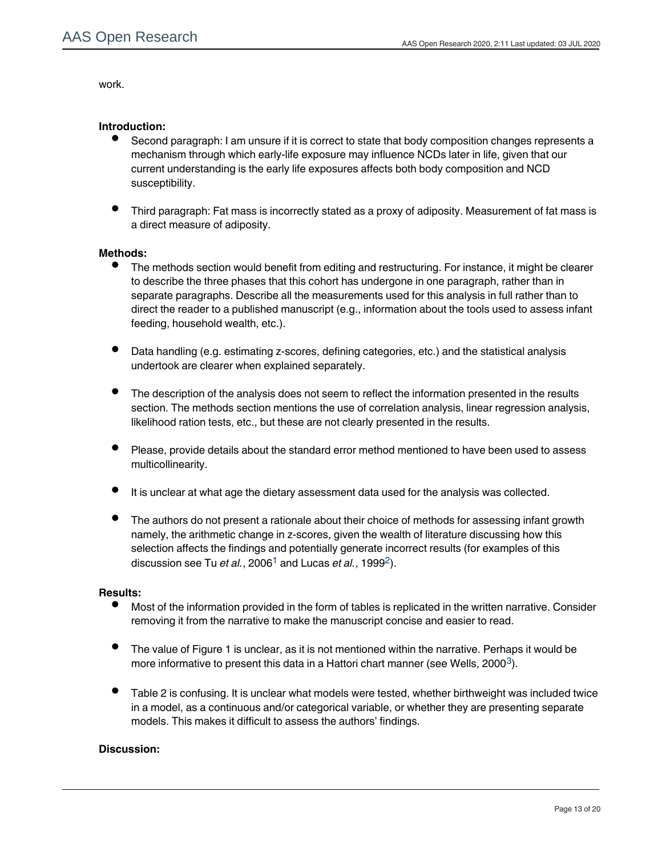work.

## **Introduction:**

- Second paragraph: I am unsure if it is correct to state that body composition changes represents a mechanism through which early-life exposure may influence NCDs later in life, given that our current understanding is the early life exposures affects both body composition and NCD susceptibility.
- Third paragraph: Fat mass is incorrectly stated as a proxy of adiposity. Measurement of fat mass is a direct measure of adiposity.

## **Methods:**

- The methods section would benefit from editing and restructuring. For instance, it might be clearer to describe the three phases that this cohort has undergone in one paragraph, rather than in separate paragraphs. Describe all the measurements used for this analysis in full rather than to direct the reader to a published manuscript (e.g., information about the tools used to assess infant feeding, household wealth, etc.).
- Data handling (e.g. estimating z-scores, defining categories, etc.) and the statistical analysis undertook are clearer when explained separately.
- The description of the analysis does not seem to reflect the information presented in the results section. The methods section mentions the use of correlation analysis, linear regression analysis, likelihood ration tests, etc., but these are not clearly presented in the results.
- Please, provide details about the standard error method mentioned to have been used to assess multicollinearity.
- It is unclear at what age the dietary assessment data used for the analysis was collected.
- The authors do not present a rationale about their choice of methods for assessing infant growth namely, the arithmetic change in z-scores, given the wealth of literature discussing how this selection affects the findings and potentially generate incorrect results (for examples of this discussion see Tu *et al.*, 2006<sup>[1](#page-13-0)</sup> and Lucas *et al.*, 1999<sup>[2](#page-13-1)</sup>).

## **Results:**

- $\bullet$ Most of the information provided in the form of tables is replicated in the written narrative. Consider removing it from the narrative to make the manuscript concise and easier to read.
- The value of Figure 1 is unclear, as it is not mentioned within the narrative. Perhaps it would be more informative to present this data in a Hattori chart manner (see Wells, 2000 $^3$  $^3$ ).
- Table 2 is confusing. It is unclear what models were tested, whether birthweight was included twice in a model, as a continuous and/or categorical variable, or whether they are presenting separate models. This makes it difficult to assess the authors' findings.

The authors rightly state that they might have been underpowered. It might be useful for  $\alpha$ 

## **Discussion:**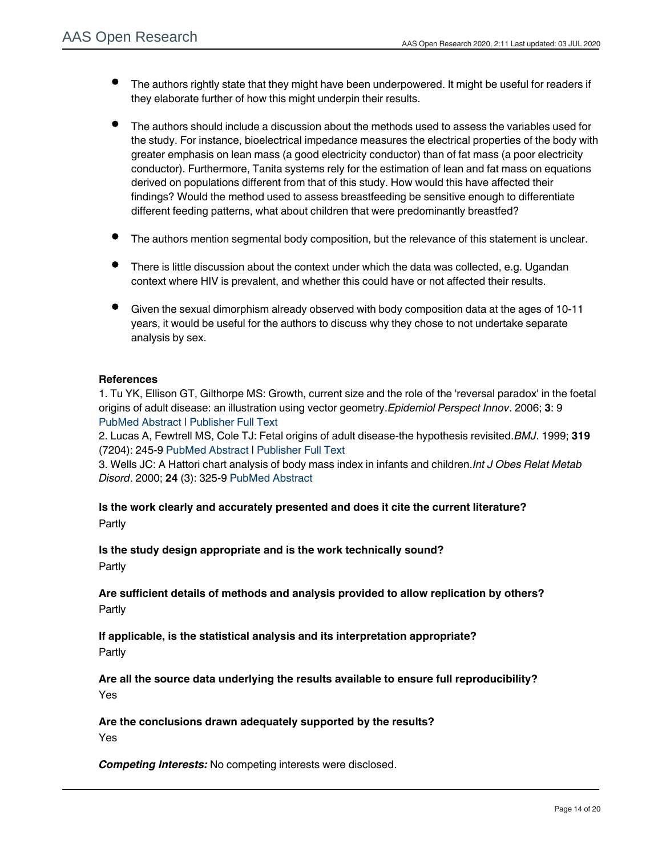- The authors rightly state that they might have been underpowered. It might be useful for readers if they elaborate further of how this might underpin their results.
- The authors should include a discussion about the methods used to assess the variables used for the study. For instance, bioelectrical impedance measures the electrical properties of the body with greater emphasis on lean mass (a good electricity conductor) than of fat mass (a poor electricity conductor). Furthermore, Tanita systems rely for the estimation of lean and fat mass on equations derived on populations different from that of this study. How would this have affected their findings? Would the method used to assess breastfeeding be sensitive enough to differentiate different feeding patterns, what about children that were predominantly breastfed?
- The authors mention segmental body composition, but the relevance of this statement is unclear.
- There is little discussion about the context under which the data was collected, e.g. Ugandan context where HIV is prevalent, and whether this could have or not affected their results.
- Given the sexual dimorphism already observed with body composition data at the ages of 10-11 years, it would be useful for the authors to discuss why they chose to not undertake separate analysis by sex.

## **References**

<span id="page-13-0"></span>1. Tu YK, Ellison GT, Gilthorpe MS: Growth, current size and the role of the 'reversal paradox' in the foetal origins of adult disease: an illustration using vector geometry.*Epidemiol Perspect Innov*. 2006; **3**: 9 [PubMed Abstract](http://www.ncbi.nlm.nih.gov/pubmed/16884533) | [Publisher Full Text](https://doi.org/10.1186/1742-5573-3-9)

<span id="page-13-1"></span>2. Lucas A, Fewtrell MS, Cole TJ: Fetal origins of adult disease-the hypothesis revisited.*BMJ*. 1999; **319** (7204): 245-9 [PubMed Abstract](http://www.ncbi.nlm.nih.gov/pubmed/10417093) | [Publisher Full Text](https://doi.org/10.1136/bmj.319.7204.245)

<span id="page-13-2"></span>3. Wells JC: A Hattori chart analysis of body mass index in infants and children.*Int J Obes Relat Metab Disord*. 2000; **24** (3): 325-9 [PubMed Abstract](http://www.ncbi.nlm.nih.gov/pubmed/10757626)

**Is the work clearly and accurately presented and does it cite the current literature?** Partly

**Is the study design appropriate and is the work technically sound?** Partly

**Are sufficient details of methods and analysis provided to allow replication by others?** Partly

**If applicable, is the statistical analysis and its interpretation appropriate?** Partly

**Are all the source data underlying the results available to ensure full reproducibility?** Yes

**Are the conclusions drawn adequately supported by the results?** Yes

*Competing Interests:* No competing interests were disclosed.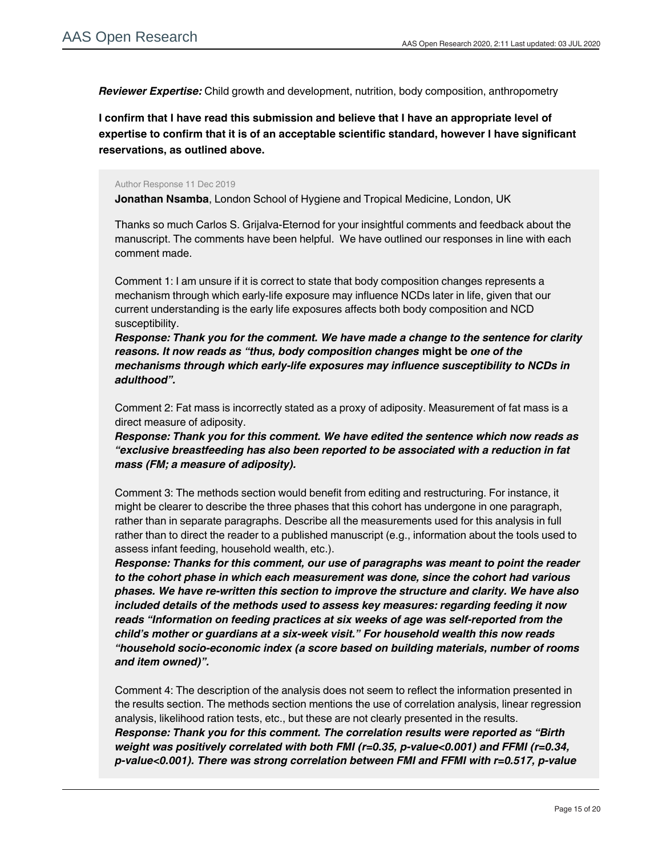*Reviewer Expertise:* Child growth and development, nutrition, body composition, anthropometry

**I confirm that I have read this submission and believe that I have an appropriate level of expertise to confirm that it is of an acceptable scientific standard, however I have significant reservations, as outlined above.**

### Author Response 11 Dec 2019

**Jonathan Nsamba**, London School of Hygiene and Tropical Medicine, London, UK

Thanks so much Carlos S. Grijalva-Eternod for your insightful comments and feedback about the manuscript. The comments have been helpful. We have outlined our responses in line with each comment made.

Comment 1: I am unsure if it is correct to state that body composition changes represents a mechanism through which early-life exposure may influence NCDs later in life, given that our current understanding is the early life exposures affects both body composition and NCD susceptibility.

*Response: Thank you for the comment. We have made a change to the sentence for clarity reasons. It now reads as "thus, body composition changes* **might be** *one of the mechanisms through which early-life exposures may influence susceptibility to NCDs in adulthood".*

Comment 2: Fat mass is incorrectly stated as a proxy of adiposity. Measurement of fat mass is a direct measure of adiposity.

*Response: Thank you for this comment. We have edited the sentence which now reads as "exclusive breastfeeding has also been reported to be associated with a reduction in fat mass (FM; a measure of adiposity).*

Comment 3: The methods section would benefit from editing and restructuring. For instance, it might be clearer to describe the three phases that this cohort has undergone in one paragraph, rather than in separate paragraphs. Describe all the measurements used for this analysis in full rather than to direct the reader to a published manuscript (e.g., information about the tools used to assess infant feeding, household wealth, etc.).

*Response: Thanks for this comment, our use of paragraphs was meant to point the reader to the cohort phase in which each measurement was done, since the cohort had various phases. We have re-written this section to improve the structure and clarity. We have also included details of the methods used to assess key measures: regarding feeding it now reads "Information on feeding practices at six weeks of age was self-reported from the child's mother or guardians at a six-week visit." For household wealth this now reads "household socio-economic index (a score based on building materials, number of rooms and item owned)".* 

Comment 4: The description of the analysis does not seem to reflect the information presented in the results section. The methods section mentions the use of correlation analysis, linear regression analysis, likelihood ration tests, etc., but these are not clearly presented in the results. *Response: Thank you for this comment. The correlation results were reported as "Birth weight was positively correlated with both FMI (r=0.35, p-value<0.001) and FFMI (r=0.34, p-value<0.001). There was strong correlation between FMI and FFMI with r=0.517, p-value*

*<0.001". In addition, table 2 contains the likelihood ratio test p-values that represented the*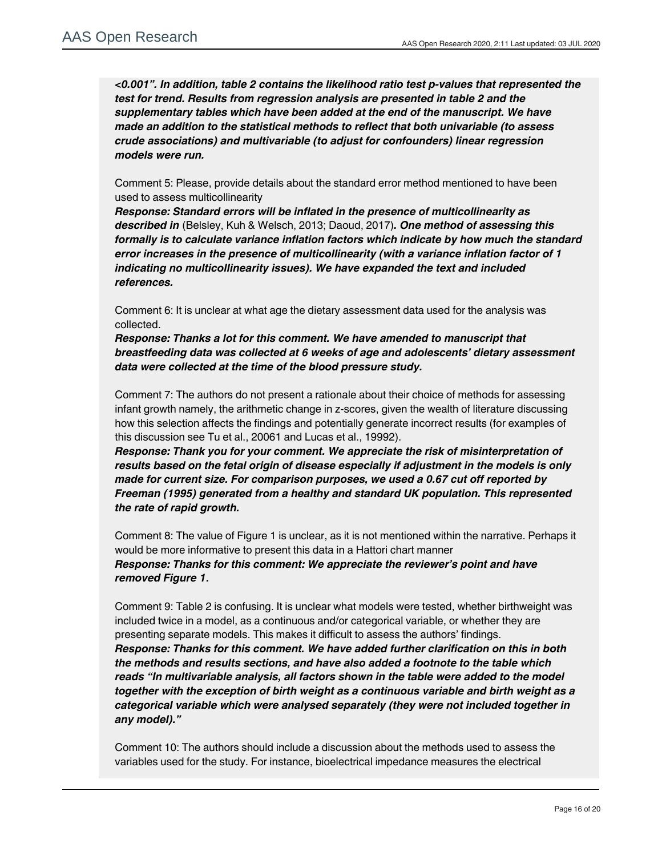*<0.001". In addition, table 2 contains the likelihood ratio test p-values that represented the test for trend. Results from regression analysis are presented in table 2 and the supplementary tables which have been added at the end of the manuscript. We have made an addition to the statistical methods to reflect that both univariable (to assess crude associations) and multivariable (to adjust for confounders) linear regression models were run.*

Comment 5: Please, provide details about the standard error method mentioned to have been used to assess multicollinearity

*Response: Standard errors will be inflated in the presence of multicollinearity as described in* (Belsley, Kuh & Welsch, 2013; Daoud, 2017)*. One method of assessing this formally is to calculate variance inflation factors which indicate by how much the standard error increases in the presence of multicollinearity (with a variance inflation factor of 1 indicating no multicollinearity issues). We have expanded the text and included references.* 

Comment 6: It is unclear at what age the dietary assessment data used for the analysis was collected.

*Response: Thanks a lot for this comment. We have amended to manuscript that breastfeeding data was collected at 6 weeks of age and adolescents' dietary assessment data were collected at the time of the blood pressure study.*

Comment 7: The authors do not present a rationale about their choice of methods for assessing infant growth namely, the arithmetic change in z-scores, given the wealth of literature discussing how this selection affects the findings and potentially generate incorrect results (for examples of this discussion see Tu et al., 20061 and Lucas et al., 19992).

*Response: Thank you for your comment. We appreciate the risk of misinterpretation of results based on the fetal origin of disease especially if adjustment in the models is only made for current size. For comparison purposes, we used a 0.67 cut off reported by Freeman (1995) generated from a healthy and standard UK population. This represented the rate of rapid growth.*

Comment 8: The value of Figure 1 is unclear, as it is not mentioned within the narrative. Perhaps it would be more informative to present this data in a Hattori chart manner *Response: Thanks for this comment: We appreciate the reviewer's point and have removed Figure 1***.** 

Comment 9: Table 2 is confusing. It is unclear what models were tested, whether birthweight was included twice in a model, as a continuous and/or categorical variable, or whether they are presenting separate models. This makes it difficult to assess the authors' findings. *Response: Thanks for this comment. We have added further clarification on this in both the methods and results sections, and have also added a footnote to the table which reads "In multivariable analysis, all factors shown in the table were added to the model together with the exception of birth weight as a continuous variable and birth weight as a categorical variable which were analysed separately (they were not included together in any model)."*

Comment 10: The authors should include a discussion about the methods used to assess the variables used for the study. For instance, bioelectrical impedance measures the electrical

properties of the body with greater emphasis on lean mass (a good electricity conductor) than of fat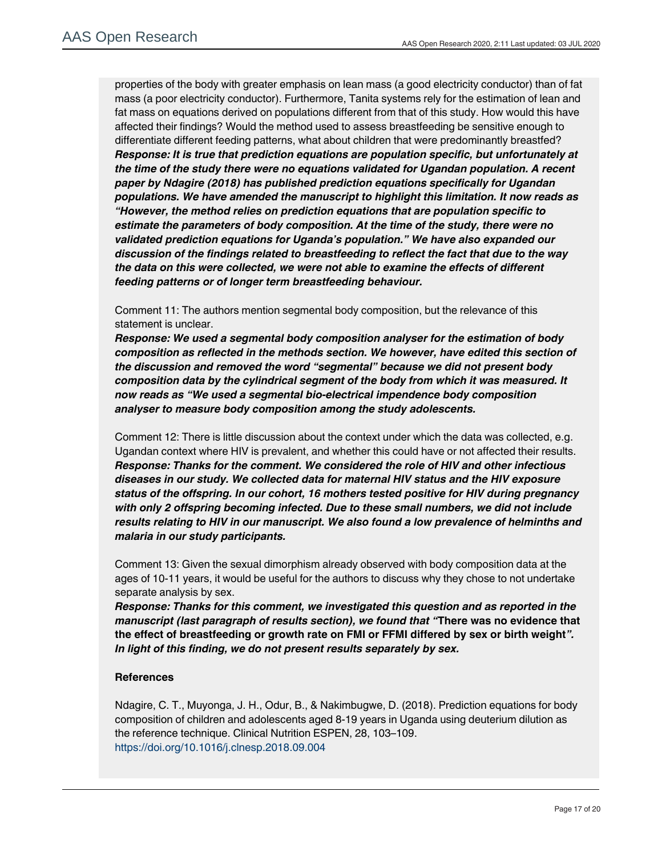properties of the body with greater emphasis on lean mass (a good electricity conductor) than of fat mass (a poor electricity conductor). Furthermore, Tanita systems rely for the estimation of lean and fat mass on equations derived on populations different from that of this study. How would this have affected their findings? Would the method used to assess breastfeeding be sensitive enough to differentiate different feeding patterns, what about children that were predominantly breastfed? *Response: It is true that prediction equations are population specific, but unfortunately at the time of the study there were no equations validated for Ugandan population. A recent paper by Ndagire (2018) has published prediction equations specifically for Ugandan populations. We have amended the manuscript to highlight this limitation. It now reads as "However, the method relies on prediction equations that are population specific to estimate the parameters of body composition. At the time of the study, there were no validated prediction equations for Uganda's population." We have also expanded our discussion of the findings related to breastfeeding to reflect the fact that due to the way the data on this were collected, we were not able to examine the effects of different feeding patterns or of longer term breastfeeding behaviour.*

Comment 11: The authors mention segmental body composition, but the relevance of this statement is unclear.

*Response: We used a segmental body composition analyser for the estimation of body composition as reflected in the methods section. We however, have edited this section of the discussion and removed the word "segmental" because we did not present body composition data by the cylindrical segment of the body from which it was measured. It now reads as "We used a segmental bio-electrical impendence body composition analyser to measure body composition among the study adolescents.*

Comment 12: There is little discussion about the context under which the data was collected, e.g. Ugandan context where HIV is prevalent, and whether this could have or not affected their results. *Response: Thanks for the comment. We considered the role of HIV and other infectious diseases in our study. We collected data for maternal HIV status and the HIV exposure status of the offspring. In our cohort, 16 mothers tested positive for HIV during pregnancy with only 2 offspring becoming infected. Due to these small numbers, we did not include results relating to HIV in our manuscript. We also found a low prevalence of helminths and malaria in our study participants.* 

Comment 13: Given the sexual dimorphism already observed with body composition data at the ages of 10-11 years, it would be useful for the authors to discuss why they chose to not undertake separate analysis by sex.

*Response: Thanks for this comment, we investigated this question and as reported in the manuscript (last paragraph of results section), we found that "***There was no evidence that the effect of breastfeeding or growth rate on FMI or FFMI differed by sex or birth weight***". In light of this finding, we do not present results separately by sex.* 

# **References**

Ndagire, C. T., Muyonga, J. H., Odur, B., & Nakimbugwe, D. (2018). Prediction equations for body composition of children and adolescents aged 8-19 years in Uganda using deuterium dilution as the reference technique. Clinical Nutrition ESPEN, 28, 103–109. <https://doi.org/10.1016/j.clnesp.2018.09.004>

*Competing Interests:* No competing interests were disclosed.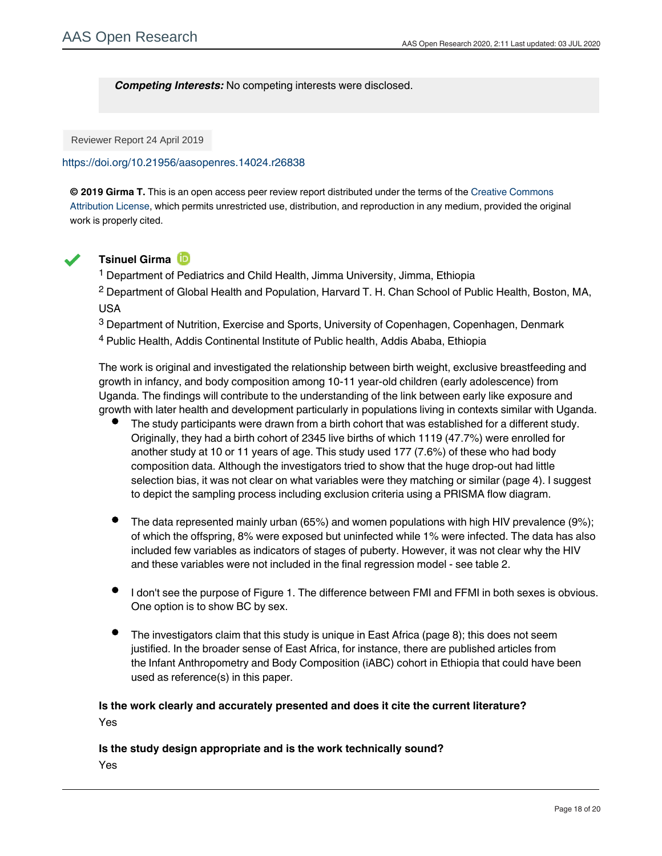## *Competing Interests:* No competing interests were disclosed.

Reviewer Report 24 April 2019

## <https://doi.org/10.21956/aasopenres.14024.r26838>

**© 2019 Girma T.** This is an open access peer review report distributed under the terms of the [Creative Commons](https://creativecommons.org/licenses/by/4.0/) [Attribution License](https://creativecommons.org/licenses/by/4.0/), which permits unrestricted use, distribution, and reproduction in any medium, provided the original work is properly cited.



## **Tsinuel Girma**

<sup>1</sup> Department of Pediatrics and Child Health, Jimma University, Jimma, Ethiopia

 $^2$  Department of Global Health and Population, Harvard T. H. Chan School of Public Health, Boston, MA, USA

 $^3$  Department of Nutrition, Exercise and Sports, University of Copenhagen, Copenhagen, Denmark

<sup>4</sup> Public Health, Addis Continental Institute of Public health, Addis Ababa, Ethiopia

The work is original and investigated the relationship between birth weight, exclusive breastfeeding and growth in infancy, and body composition among 10-11 year-old children (early adolescence) from Uganda. The findings will contribute to the understanding of the link between early like exposure and growth with later health and development particularly in populations living in contexts similar with Uganda.

- The study participants were drawn from a birth cohort that was established for a different study. Originally, they had a birth cohort of 2345 live births of which 1119 (47.7%) were enrolled for another study at 10 or 11 years of age. This study used 177 (7.6%) of these who had body composition data. Although the investigators tried to show that the huge drop-out had little selection bias, it was not clear on what variables were they matching or similar (page 4). I suggest to depict the sampling process including exclusion criteria using a PRISMA flow diagram.
- The data represented mainly urban (65%) and women populations with high HIV prevalence (9%); of which the offspring, 8% were exposed but uninfected while 1% were infected. The data has also included few variables as indicators of stages of puberty. However, it was not clear why the HIV and these variables were not included in the final regression model - see table 2.
- I don't see the purpose of Figure 1. The difference between FMI and FFMI in both sexes is obvious. One option is to show BC by sex.
- The investigators claim that this study is unique in East Africa (page 8); this does not seem justified. In the broader sense of East Africa, for instance, there are published articles from the Infant Anthropometry and Body Composition (iABC) cohort in Ethiopia that could have been used as reference(s) in this paper.

# **Is the work clearly and accurately presented and does it cite the current literature?** Yes

# **Is the study design appropriate and is the work technically sound?** Yes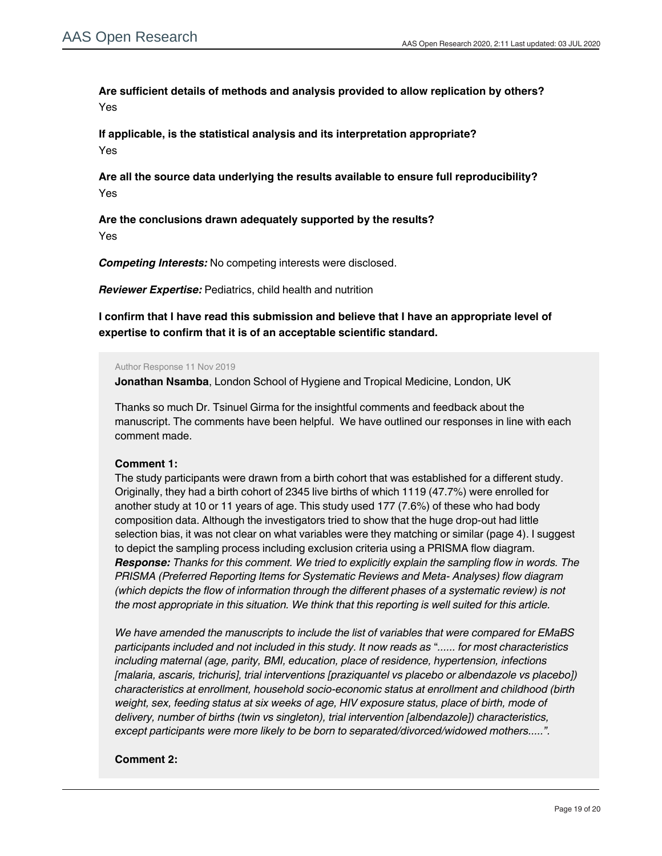**Are sufficient details of methods and analysis provided to allow replication by others?** Yes

**If applicable, is the statistical analysis and its interpretation appropriate?** Yes

**Are all the source data underlying the results available to ensure full reproducibility?** Yes

**Are the conclusions drawn adequately supported by the results?** Yes

*Competing Interests:* No competing interests were disclosed.

*Reviewer Expertise:* Pediatrics, child health and nutrition

**I confirm that I have read this submission and believe that I have an appropriate level of expertise to confirm that it is of an acceptable scientific standard.**

#### Author Response 11 Nov 2019

**Jonathan Nsamba**, London School of Hygiene and Tropical Medicine, London, UK

Thanks so much Dr. Tsinuel Girma for the insightful comments and feedback about the manuscript. The comments have been helpful. We have outlined our responses in line with each comment made.

## **Comment 1:**

The study participants were drawn from a birth cohort that was established for a different study. Originally, they had a birth cohort of 2345 live births of which 1119 (47.7%) were enrolled for another study at 10 or 11 years of age. This study used 177 (7.6%) of these who had body composition data. Although the investigators tried to show that the huge drop-out had little selection bias, it was not clear on what variables were they matching or similar (page 4). I suggest to depict the sampling process including exclusion criteria using a PRISMA flow diagram. *Response: Thanks for this comment. We tried to explicitly explain the sampling flow in words. The PRISMA (Preferred Reporting Items for Systematic Reviews and Meta- Analyses) flow diagram (which depicts the flow of information through the different phases of a systematic review) is not the most appropriate in this situation. We think that this reporting is well suited for this article.*

*We have amended the manuscripts to include the list of variables that were compared for EMaBS participants included and not included in this study. It now reads as* "*...... for most characteristics including maternal (age, parity, BMI, education, place of residence, hypertension, infections [malaria, ascaris, trichuris], trial interventions [praziquantel vs placebo or albendazole vs placebo]) characteristics at enrollment, household socio-economic status at enrollment and childhood (birth weight, sex, feeding status at six weeks of age, HIV exposure status, place of birth, mode of delivery, number of births (twin vs singleton), trial intervention [albendazole]) characteristics, except participants were more likely to be born to separated/divorced/widowed mothers.....".*

The data represented mainly urban (65%) and women populations with high HIV prevalence (9%);

## **Comment 2:**